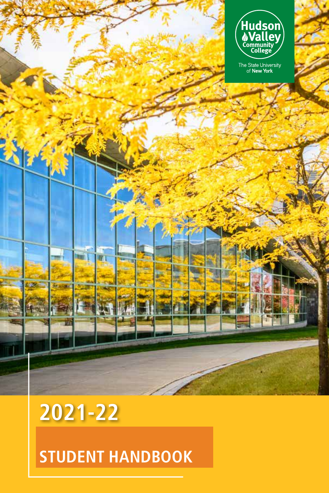

**2021-22**

# **STUDENT HANDBOOK**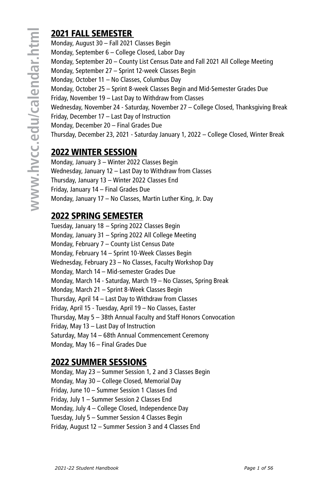## 2021 FALL SEMESTER

Monday, August 30 – Fall 2021 Classes Begin Monday, September 6 – College Closed, Labor Day Monday, September 20 – County List Census Date and Fall 2021 All College Meeting Monday, September 27 – Sprint 12-week Classes Begin Monday, October 11 – No Classes, Columbus Day Monday, October 25 – Sprint 8-week Classes Begin and Mid-Semester Grades Due Friday, November 19 – Last Day to Withdraw from Classes Wednesday, November 24 - Saturday, November 27 – College Closed, Thanksgiving Break Friday, December 17 – Last Day of Instruction Monday, December 20 – Final Grades Due Thursday, December 23, 2021 - Saturday January 1, 2022 – College Closed, Winter Break

## 2022 WINTER SESSION

Monday, January 3 – Winter 2022 Classes Begin Wednesday, January 12 – Last Day to Withdraw from Classes Thursday, January 13 – Winter 2022 Classes End Friday, January 14 – Final Grades Due Monday, January 17 – No Classes, Martin Luther King, Jr. Day

## 2022 SPRING SEMESTER

Tuesday, January 18 – Spring 2022 Classes Begin Monday, January 31 – Spring 2022 All College Meeting Monday, February 7 – County List Census Date Monday, February 14 – Sprint 10-Week Classes Begin Wednesday, February 23 – No Classes, Faculty Workshop Day Monday, March 14 – Mid-semester Grades Due Monday, March 14 - Saturday, March 19 – No Classes, Spring Break Monday, March 21 – Sprint 8-Week Classes Begin Thursday, April 14 – Last Day to Withdraw from Classes Friday, April 15 - Tuesday, April 19 – No Classes, Easter Thursday, May 5 – 38th Annual Faculty and Staff Honors Convocation Friday, May 13 – Last Day of Instruction Saturday, May 14 – 68th Annual Commencement Ceremony Monday, May 16 – Final Grades Due

## 2022 SUMMER SESSIONS

Monday, May 23 – Summer Session 1, 2 and 3 Classes Begin Monday, May 30 – College Closed, Memorial Day Friday, June 10 – Summer Session 1 Classes End Friday, July 1 – Summer Session 2 Classes End Monday, July 4 – College Closed, Independence Day Tuesday, July 5 – Summer Session 4 Classes Begin Friday, August 12 – Summer Session 3 and 4 Classes End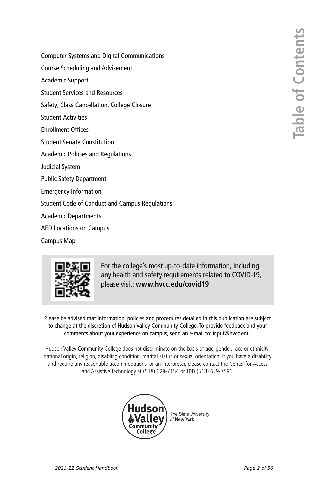**Table of Contents Table of Contents**

- [Computer Systems and Digital Communications](#page-3-0)
- [Course Scheduling and Advisement](#page-4-0)
- [Academic Support](#page-4-0)
- [Student Services and Resources](#page-5-0)
- [Safety, Class Cancellation, College Closure](#page-7-0)
- [Student Activities](#page-8-0)
- [Enrollment Offices](#page-9-0)
- [Student Senate Constitution](#page-10-0)
- [Academic Policies and Regulations](#page-14-0)
- [Judicial System](#page-28-0)
- [Public Safety Department](#page-43-0)
- [Emergency Information](#page-48-0)
- [Student Code of Conduct and Campus Regulations](#page-51-0)
- [Academic Departments](#page-52-0)
- [AED Locations on Campus](#page-55-0)
- [Campus Map](#page-56-0)



For the college's most up-to-date information, including any health and safety requirements related to COVID-19, please visit: **www.hvcc.edu/covid19**

Please be advised that information, policies and procedures detailed in this publication are subject to change at the discretion of Hudson Valley Community College. To provide feedback and your comments about your experience on campus, send an e-mail to: input@hvcc.edu.

Hudson Valley Community College does not discriminate on the basis of age, gender, race or ethnicity, national origin, religion, disabling condition, marital status or sexual orientation. If you have a disability and require any reasonable accommodations, or an interpreter, please contact the Center for Access and Assistive Technology at (518) 629-7154 or TDD (518) 629-7596.



The State University of New York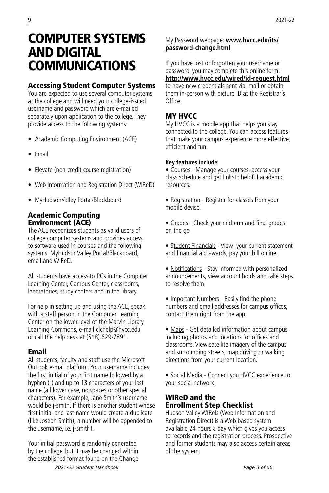## <span id="page-3-0"></span>COMPUTER SYSTEMS AND DIGITAL COMMUNICATIONS

## Accessing Student Computer Systems

You are expected to use several computer systems at the college and will need your college-issued username and password which are e-mailed separately upon application to the college. They provide access to the following systems:

- Academic Computing Environment (ACE)
- Email
- Elevate (non-credit course registration)
- Web Information and Registration Direct (WIReD)
- MyHudsonValley Portal/Blackboard

#### Academic Computing Environment (ACE)

The ACE recognizes students as valid users of college computer systems and provides access to software used in courses and the following systems: MyHudsonValley Portal/Blackboard, email and WIReD.

All students have access to PCs in the Computer Learning Center, Campus Center, classrooms, laboratories, study centers and in the library.

For help in setting up and using the ACE, speak with a staff person in the Computer Learning Center on the lower level of the Marvin Library Learning Commons, e-mail clchelp@hvcc.edu or call the help desk at (518) 629-7891.

## Email

All students, faculty and staff use the Microsoft Outlook e-mail platform. Your username includes the first initial of your first name followed by a hyphen (-) and up to 13 characters of your last name (all lower case, no spaces or other special characters). For example, Jane Smith's username would be j-smith. If there is another student whose first initial and last name would create a duplicate (like Joseph Smith), a number will be appended to the username, i.e. j-smith1.

Your initial password is randomly generated by the college, but it may be changed within the established format found on the Change

## My Password webpage: **www.hvcc.edu/its/ password-change.html**

If you have lost or forgotten your username or password, you may complete this online form: **http://www.hvcc.edu/wired/id-request.html** to have new credentials sent vial mail or obtain them in-person with picture ID at the Registrar's Office.

## MY HVCC

My HVCC is a mobile app that helps you stay connected to the college. You can access features that make your campus experience more effective, efficient and fun.

#### **Key features include:**

• Courses - Manage your courses, access your class schedule and get linksto helpful academic resources.

- Registration Register for classes from your mobile devise.
- Grades Check your midterm and final grades on the go.
- Student Financials View your current statement and financial aid awards, pay your bill online.
- Notifications Stay informed with personalized announcements, view account holds and take steps to resolve them.
- Important Numbers Easily find the phone numbers and email addresses for campus offices, contact them right from the app.
- Maps Get detailed information about campus including photos and locations for offices and classrooms. View satellite imagery of the campus and surrounding streets, map driving or walking directions from your current location.
- Social Media Connect you HVCC experience to your social network.

## WIReD and the Enrollment Step Checklist

Hudson Valley WIReD (Web Information and Registration Direct) is a Web-based system available 24 hours a day which gives you access to records and the registration process. Prospective and former students may also access certain areas of the system.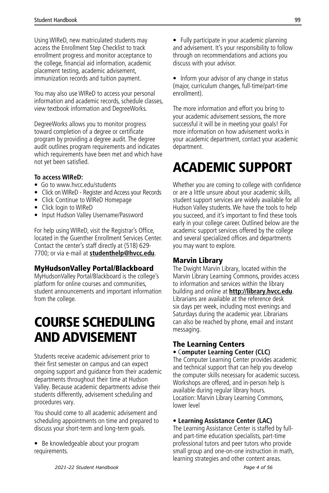<span id="page-4-0"></span>Using WIReD, new matriculated students may access the Enrollment Step Checklist to track enrollment progress and monitor acceptance to the college, financial aid information, academic placement testing, academic advisement, immunization records and tuition payment.

You may also use WIReD to access your personal information and academic records, schedule classes, view textbook information and DegreeWorks.

DegreeWorks allows you to monitor progress toward completion of a degree or certificate program by providing a degree audit. The degree audit outlines program requirements and indicates which requirements have been met and which have not yet been satisfied.

#### **To access WIReD:**

- Go to www.hvcc.edu/students
- Click on WIReD Register and Access your Records
- Click Continue to WIReD Homepage
- Click login to WIReD
- Input Hudson Valley Username/Password

For help using WIReD, visit the Registrar's Office, located in the Guenther Enrollment Services Center. Contact the center's staff directly at (518) 629- 7700; or via e-mail at **studenthelp@hvcc.edu**.

## MyHudsonValley Portal/Blackboard

MyHudsonValley Portal/Blackboard is the college's platform for online courses and communities, student announcements and important information from the college.

## COURSE SCHEDULING AND ADVISEMENT

Students receive academic advisement prior to their first semester on campus and can expect ongoing support and guidance from their academic departments throughout their time at Hudson Valley. Because academic departments advise their students differently, advisement scheduling and procedures vary.

You should come to all academic advisement and scheduling appointments on time and prepared to discuss your short-term and long-term goals.

• Be knowledgeable about your program requirements.

• Fully participate in your academic planning and advisement. It's your responsibility to follow through on recommendations and actions you discuss with your advisor.

• Inform your advisor of any change in status (major, curriculum changes, full-time/part-time enrollment).

The more information and effort you bring to your academic advisement sessions, the more successful it will be in meeting your goals! For more information on how advisement works in your academic department, contact your academic department.

# ACADEMIC SUPPORT

Whether you are coming to college with confidence or are a little unsure about your academic skills, student support services are widely available for all Hudson Valley students. We have the tools to help you succeed, and it's important to find these tools early in your college career. Outlined below are the academic support services offered by the college and several specialized offices and departments you may want to explore.

#### Marvin Library

The Dwight Marvin Library, located within the Marvin Library Learning Commons, provides access to information and services within the library building and online at **http://library.hvcc.edu**. Librarians are available at the reference desk six days per week, including most evenings and Saturdays during the academic year. Librarians can also be reached by phone, email and instant messaging.

#### The Learning Centers • C**omputer Learning Center (CLC)**

The Computer Learning Center provides academic and technical support that can help you develop the computer skills necessary for academic success. Workshops are offered, and in-person help is available during regular library hours. Location: Marvin Library Learning Commons, lower level

## **• Learning Assistance Center (LAC)**

The Learning Assistance Center is staffed by fulland part-time education specialists, part-time professional tutors and peer tutors who provide small group and one-on-one instruction in math, learning strategies and other content areas.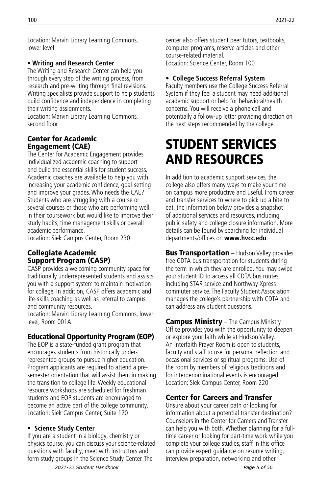<span id="page-5-0"></span>Location: Marvin Library Learning Commons, lower level

#### **• Writing and Research Center**

The Writing and Research Center can help you through every step of the writing process, from research and pre-writing through final revisions. Writing specialists provide support to help students build confidence and independence in completing their writing assignments.

Location: Marvin Library Learning Commons, second floor

## Center for Academic Engagement (CAE)

The Center for Academic Engagement provides individualized academic coaching to support and build the essential skills for student success. Academic coaches are available to help you with increasing your academic confidence, goal-setting and improve your grades. Who needs the CAE? Students who are struggling with a course or several courses or those who are performing well in their coursework but would like to improve their study habits, time management skills or overall academic performance.

Location: Siek Campus Center, Room 230

## Collegiate Academic Support Program (CASP)

CASP provides a welcoming community space for traditionally underrepresented students and assists you with a support system to maintain motivation for college. In addition, CASP offers academic and life-skills coaching as well as referral to campus and community resources.

Location: Marvin Library Learning Commons, lower level, Room 001A

## Educational Opportunity Program (EOP)

The EOP is a state-funded grant program that encourages students from historically underrepresented groups to pursue higher education. Program applicants are required to attend a presemester orientation that will assist them in making the transition to college life. Weekly educational resource workshops are scheduled for freshman students and EOP students are encouraged to become an active part of the college community. Location: Siek Campus Center, Suite 120

#### **• Science Study Center**

If you are a student in a biology, chemistry or physics course, you can discuss your science-related questions with faculty, meet with instructors and form study groups in the Science Study Center. The

center also offers student peer tutors, textbooks, computer programs, reserve articles and other course-related material. Location: Science Center, Room 100

#### **• College Success Referral System**

Faculty members use the College Success Referral System if they feel a student may need additional academic support or help for behavioral/health concerns. You will receive a phone call and potentially a follow-up letter providing direction on the next steps recommended by the college.

## STUDENT SERVICES AND RESOURCES

In addition to academic support services, the college also offers many ways to make your time on campus more productive and useful. From career and transfer services to where to pick up a bite to eat, the information below provides a snapshot of additional services and resources, including public safety and college closure information. More details can be found by searching for individual departments/offices on **www.hvcc.edu**.

**Bus Transportation** – Hudson Valley provides free CDTA bus transportation for students during the term in which they are enrolled. You may swipe your student ID to access all CDTA bus routes, including STAR service and Northway Xpress commuter service. The Faculty Student Association manages the college's partnership with CDTA and can address any student questions.

Campus Ministry - The Campus Ministry Office provides you with the opportunity to deepen or explore your faith while at Hudson Valley. An Interfaith Prayer Room is open to students, faculty and staff to use for personal reflection and occasional services or spiritual programs. Use of the room by members of religious traditions and for interdenominational events is encouraged. Location: Siek Campus Center, Room 220

## Center for Careers and Transfer

Unsure about your career path or looking for information about a potential transfer destination? Counselors in the Center for Careers and Transfer can help you with both. Whether planning for a fulltime career or looking for part-time work while you complete your college studies, staff in this office can provide expert guidance on resume writing, interview preparation, networking and other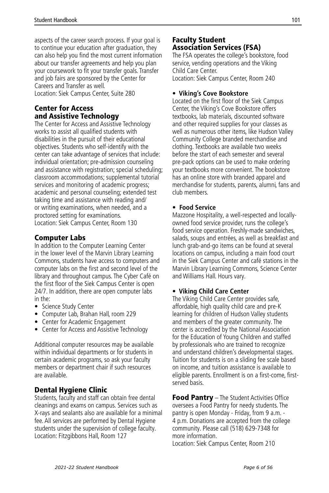aspects of the career search process. If your goal is to continue your education after graduation, they can also help you find the most current information about our transfer agreements and help you plan your coursework to fit your transfer goals. Transfer and job fairs are sponsored by the Center for Careers and Transfer as well. Location: Siek Campus Center, Suite 280

## Center for Access and Assistive Technology

The Center for Access and Assistive Technology works to assist all qualified students with disabilities in the pursuit of their educational objectives. Students who self-identify with the center can take advantage of services that include: individual orientation; pre-admission counseling and assistance with registration; special scheduling; classroom accommodations; supplemental tutorial services and monitoring of academic progress; academic and personal counseling; extended test taking time and assistance with reading and/ or writing examinations, when needed, and a proctored setting for examinations. Location: Siek Campus Center, Room 130

## Computer Labs

In addition to the Computer Learning Center in the lower level of the Marvin Library Learning Commons, students have access to computers and computer labs on the first and second level of the library and throughout campus. The Cyber Café on the first floor of the Siek Campus Center is open 24/7. In addition, there are open computer labs in the:

- Science Study Center
- Computer Lab, Brahan Hall, room 229
- Center for Academic Engagement
- Center for Access and Assistive Technology

Additional computer resources may be available within individual departments or for students in certain academic programs, so ask your faculty members or department chair if such resources are available.

## Dental Hygiene Clinic

Students, faculty and staff can obtain free dental cleanings and exams on campus. Services such as X-rays and sealants also are available for a minimal fee. All services are performed by Dental Hygiene students under the supervision of college faculty. Location: Fitzgibbons Hall, Room 127

#### Faculty Student Association Services (FSA)

The FSA operates the college's bookstore, food service, vending operations and the Viking Child Care Center. Location: Siek Campus Center, Room 240

#### **• Viking's Cove Bookstore**

Located on the first floor of the Siek Campus Center, the Viking's Cove Bookstore offers textbooks, lab materials, discounted software and other required supplies for your classes as well as numerous other items, like Hudson Valley Community College branded merchandise and clothing. Textbooks are available two weeks before the start of each semester and several pre-pack options can be used to make ordering your textbooks more convenient. The bookstore has an online store with branded apparel and merchandise for students, parents, alumni, fans and club members.

#### **• Food Service**

Mazzone Hospitality, a well-respected and locallyowned food service provider, runs the college's food service operation. Freshly-made sandwiches, salads, soups and entrées, as well as breakfast and lunch grab-and-go items can be found at several locations on campus, including a main food court in the Siek Campus Center and café stations in the Marvin Library Learning Commons, Science Center and Williams Hall. Hours vary.

#### **• Viking Child Care Center**

The Viking Child Care Center provides safe, affordable, high quality child care and pre-K learning for children of Hudson Valley students and members of the greater community. The center is accredited by the National Association for the Education of Young Children and staffed by professionals who are trained to recognize and understand children's developmental stages. Tuition for students is on a sliding fee scale based on income, and tuition assistance is available to eligible parents. Enrollment is on a first-come, firstserved basis.

Food Pantry - The Student Activities Office oversees a Food Pantry for needy students. The pantry is open Monday - Friday, from 9 a.m. - 4 p.m. Donations are accepted from the college community. Please call (518) 629-7348 for more information. Location: Siek Campus Center, Room 210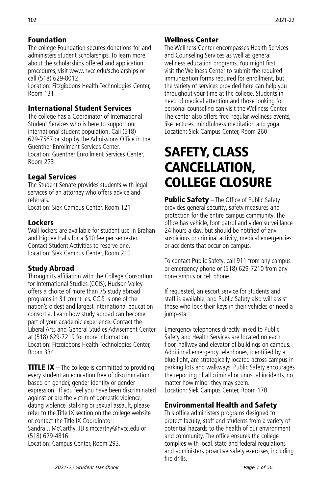## <span id="page-7-0"></span>Foundation

The college Foundation secures donations for and administers student scholarships. To learn more about the scholarships offered and application procedures, visit www.hvcc.edu/scholarships or call (518) 629-8012.

Location: Fitzgibbons Health Technologies Center, Room 131

## International Student Services

The college has a Coordinator of International Student Services who is here to support our international student population. Call (518) 629-7567 or stop by the Admissions Office in the Guenther Enrollment Services Center. Location: Guenther Enrollment Services Center, Room 223

## Legal Services

The Student Senate provides students with legal services of an attorney who offers advice and referrals.

Location: Siek Campus Center, Room 121

## Lockers

Wall lockers are available for student use in Brahan and Higbee Halls for a \$10 fee per semester. Contact Student Activities to reserve one. Location: Siek Campus Center, Room 210

## Study Abroad

Through its affiliation with the College Consortium for International Studies (CCIS), Hudson Valley offers a choice of more than 75 study abroad programs in 31 countries. CCIS is one of the nation's oldest and largest international education consortia. Learn how study abroad can become part of your academic experience. Contact the Liberal Arts and General Studies Advisement Center at (518) 629-7219 for more information. Location: Fitzgibbons Health Technologies Center, Room 334

**TITLE IX** – The college is committed to providing every student an education free of discrimination based on gender, gender identity or gender expression. If you feel you have been discriminated against or are the victim of domestic violence, dating violence, stalking or sexual assault, please refer to the Title IX section on the college website or contact the Title IX Coordinator:

Sandra J. McCarthy, JD s.mccarthy@hvcc.edu or (518) 629-4816

Location: Campus Center, Room 293.

## Wellness Center

The Wellness Center encompasses Health Services and Counseling Services as well as general wellness education programs. You might first visit the Wellness Center to submit the required immunization forms required for enrollment, but the variety of services provided here can help you throughout your time at the college. Students in need of medical attention and those looking for personal counseling can visit the Wellness Center. The center also offers free, regular wellness events, like lectures, mindfulness meditation and yoga Location: Siek Campus Center, Room 260

## SAFETY, CLASS CANCELLATION, COLLEGE CLOSURE

**Public Safety** – The Office of Public Safety provides general security, safety measures and protection for the entire campus community. The office has vehicle, foot patrol and video surveillance 24 hours a day, but should be notified of any suspicious or criminal activity, medical emergencies or accidents that occur on campus.

To contact Public Safety, call 911 from any campus or emergency phone or (518) 629-7210 from any non-campus or cell phone.

If requested, an escort service for students and staff is available, and Public Safety also will assist those who lock their keys in their vehicles or need a jump-start.

Emergency telephones directly linked to Public Safety and Health Services are located on each floor, hallway and elevator of buildings on campus. Additional emergency telephones, identified by a blue light, are strategically located across campus in parking lots and walkways. Public Safety encourages the reporting of all criminal or unusual incidents, no matter how minor they may seem. Location: Siek Campus Center, Room 170

## Environmental Health and Safety

This office administers programs designed to protect faculty, staff and students from a variety of potential hazards to the health of our environment and community. The office ensures the college complies with local, state and federal regulations and administers proactive safety exercises, including fire drills.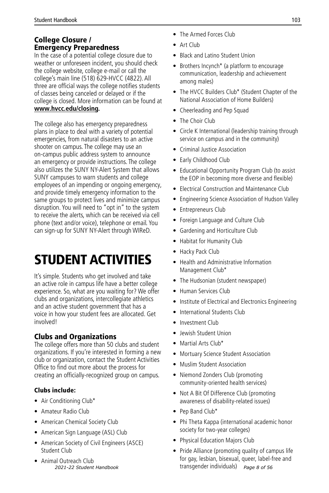## <span id="page-8-0"></span>College Closure / Emergency Preparedness

In the case of a potential college closure due to weather or unforeseen incident, you should check the college website, college e-mail or call the college's main line (518) 629-HVCC (4822). All three are official ways the college notifies students of classes being canceled or delayed or if the college is closed. More information can be found at **www.hvcc.edu/closing.** 

The college also has emergency preparedness plans in place to deal with a variety of potential emergencies, from natural disasters to an active shooter on campus. The college may use an on-campus public address system to announce an emergency or provide instructions. The college also utilizes the SUNY NY-Alert System that allows SUNY campuses to warn students and college employees of an impending or ongoing emergency, and provide timely emergency information to the same groups to protect lives and minimize campus disruption. You will need to "opt in" to the system to receive the alerts, which can be received via cell phone (text and/or voice), telephone or email. You can sign-up for SUNY NY-Alert through WIReD.

# STUDENT ACTIVITIES

It's simple. Students who get involved and take an active role in campus life have a better college experience. So, what are you waiting for? We offer clubs and organizations, intercollegiate athletics and an active student government that has a voice in how your student fees are allocated. Get involved!

## Clubs and Organizations

The college offers more than 50 clubs and student organizations. If you're interested in forming a new club or organization, contact the Student Activities Office to find out more about the process for creating an officially-recognized group on campus.

## Clubs include:

- Air Conditioning Club\*
- Amateur Radio Club
- American Chemical Society Club
- American Sign Language (ASL) Club
- American Society of Civil Engineers (ASCE) Student Club
- Animal Outreach Club<br>2021-22 Student Handbook
- The Armed Forces Club
- Art Club
- Black and Latino Student Union
- Brothers Incynch\* (a platform to encourage communication, leadership and achievement among males)
- The HVCC Builders Club\* (Student Chapter of the National Association of Home Builders)
- Cheerleading and Pep Squad
- The Choir Club
- Circle K International (leadership training through service on campus and in the community)
- Criminal Justice Association
- Early Childhood Club
- Educational Opportunity Program Club (to assist the EOP in becoming more diverse and flexible)
- Electrical Construction and Maintenance Club
- Engineering Science Association of Hudson Valley
- Entrepreneurs Club
- Foreign Language and Culture Club
- Gardening and Horticulture Club
- Habitat for Humanity Club
- Hacky Pack Club
- Health and Administrative Information Management Club\*
- The Hudsonian (student newspaper)
- Human Services Club
- Institute of Electrical and Electronics Engineering
- International Students Club
- Investment Club
- Jewish Student Union
- Martial Arts Club\*
- Mortuary Science Student Association
- Muslim Student Association
- Niemond Zonders Club (promoting community-oriented health services)
- Not A Bit Of Difference Club (promoting awareness of disability-related issues)
- Pep Band Club\*
- Phi Theta Kappa (international academic honor society for two-year colleges)
- Physical Education Majors Club
- Pride Alliance (promoting quality of campus life for gay, lesbian, bisexual, queer, label-free and transgender individuals) *2021-22 Student Handbook Page 8 of 56*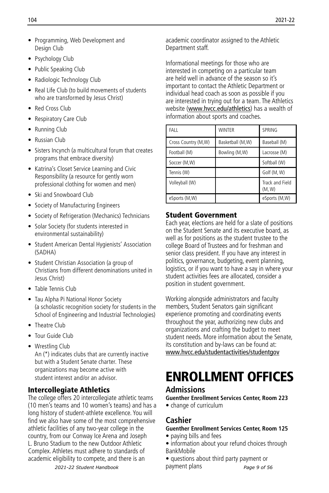- <span id="page-9-0"></span>• Programming, Web Development and Desian Club
- Psychology Club
- Public Speaking Club
- Radiologic Technology Club
- Real Life Club (to build movements of students who are transformed by Jesus Christ)
- Red Cross Club
- Respiratory Care Club
- Running Club
- Russian Club
- Sisters Incynch (a multicultural forum that creates programs that embrace diversity)
- Katrina's Closet Service Learning and Civic Responsibility (a resource for gently worn professional clothing for women and men)
- Ski and Snowboard Club
- Society of Manufacturing Engineers
- Society of Refrigeration (Mechanics) Technicians
- Solar Society (for students interested in environmental sustainability)
- Student American Dental Hygienists' Association (SADHA)
- Student Christian Association (a group of Christians from different denominations united in Jesus Christ)
- Table Tennis Club
- Tau Alpha Pi National Honor Society (a scholastic recognition society for students in the School of Engineering and Industrial Technologies)
- Theatre Club
- Tour Guide Club
- Wrestling Club An (\*) indicates clubs that are currently inactive but with a Student Senate charter. These organizations may become active with student interest and/or an advisor.

## Intercollegiate Athletics

The college offers 20 intercollegiate athletic teams (10 men's teams and 10 women's teams) and has a long history of student-athlete excellence. You will find we also have some of the most comprehensive athletic facilities of any two-year college in the country, from our Conway Ice Arena and Joseph L. Bruno Stadium to the new Outdoor Athletic Complex. Athletes must adhere to standards of academic eligibility to compete, and there is an

*2021-22 Student Handbook*

academic coordinator assigned to the Athletic Department staff.

Informational meetings for those who are interested in competing on a particular team are held well in advance of the season so it's important to contact the Athletic Department or individual head coach as soon as possible if you are interested in trying out for a team. The Athletics website (www.hvcc.edu/athletics) has a wealth of information about sports and coaches.

| FALL                | <b>WINTER</b>    | SPRING                    |
|---------------------|------------------|---------------------------|
| Cross Country (M,W) | Basketball (M,W) | Baseball (M)              |
| Football (M)        | Bowling (M,W)    | Lacrosse (M)              |
| Soccer (M,W)        |                  | Softball (W)              |
| Tennis (W)          |                  | Golf (M, W)               |
| Volleyball (W)      |                  | Track and Field<br>(M, W) |
| eSports (M,W)       |                  | eSports (M,W)             |

## Student Government

Each year, elections are held for a slate of positions on the Student Senate and its executive board, as well as for positions as the student trustee to the college Board of Trustees and for freshman and senior class president. If you have any interest in politics, governance, budgeting, event planning, logistics, or if you want to have a say in where your student activities fees are allocated, consider a position in student government.

Working alongside administrators and faculty members, Student Senators gain significant experience promoting and coordinating events throughout the year, authorizing new clubs and organizations and crafting the budget to meet student needs. More information about the Senate, its constitution and by-laws can be found at: www.hvcc.edu/studentactivities/studentgov

# ENROLLMENT OFFICES

## **Admissions**

**Guenther Enrollment Services Center, Room 223**

• change of curriculum

## **Cashier**

## **Guenther Enrollment Services Center, Room 125**

- paying bills and fees
- information about your refund choices through BankMobile
- questions about third party payment or payment plans *Page 9 of 56*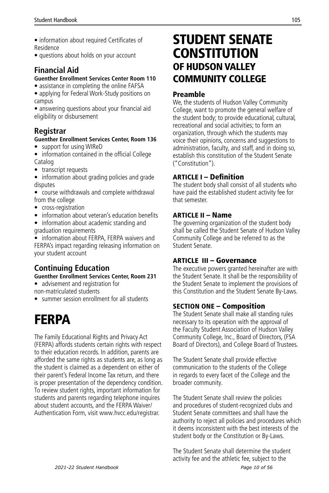- <span id="page-10-0"></span>• information about required Certificates of Residence
- questions about holds on your account

## **Financial Aid**

#### **Guenther Enrollment Services Center Room 110**

- assistance in completing the online FAFSA
- applying for Federal Work-Study positions on campus

• answering questions about your financial aid eligibility or disbursement

## **Registrar**

#### **Guenther Enrollment Services Center, Room 136**

- support for using WIReD
- information contained in the official College Catalog
- transcript requests

• information about grading policies and grade disputes

- course withdrawals and complete withdrawal from the college
- cross-registration
- information about veteran's education benefits
- information about academic standing and graduation requirements

• information about FERPA, FERPA waivers and FERPA's impact regarding releasing information on your student account

## **Continuing Education**

#### **Guenther Enrollment Services Center, Room 231**

- advisement and registration for non-matriculated students
- summer session enrollment for all students

# FERPA

The Family Educational Rights and Privacy Act (FERPA) affords students certain rights with respect to their education records. In addition, parents are afforded the same rights as students are, as long as the student is claimed as a dependent on either of their parent's Federal Income Tax return, and there is proper presentation of the dependency condition. To review student rights, important information for students and parents regarding telephone inquires about student accounts, and the FERPA Waiver/ Authentication Form, visit www.hvcc.edu/registrar.

## STUDENT SENATE **CONSTITUTION** OF HUDSON VALLEY COMMUNITY COLLEGE

## Preamble

We, the students of Hudson Valley Community College, want to promote the general welfare of the student body; to provide educational, cultural, recreational and social activities; to form an organization, through which the students may voice their opinions, concerns and suggestions to administration, faculty, and staff, and in doing so, establish this constitution of the Student Senate ("Constitution").

## ARTICLE I – Definition

The student body shall consist of all students who have paid the established student activity fee for that semester.

## ARTICLE II – Name

The governing organization of the student body shall be called the Student Senate of Hudson Valley Community College and be referred to as the Student Senate.

## ARTICLE III – Governance

The executive powers granted hereinafter are with the Student Senate. It shall be the responsibility of the Student Senate to implement the provisions of this Constitution and the Student Senate By-Laws.

## SECTION ONE – Composition

The Student Senate shall make all standing rules necessary to its operation with the approval of the Faculty Student Association of Hudson Valley Community College, Inc., Board of Directors, (FSA Board of Directors), and College Board of Trustees.

The Student Senate shall provide effective communication to the students of the College in regards to every facet of the College and the broader community.

The Student Senate shall review the policies and procedures of student-recognized clubs and Student Senate committees and shall have the authority to reject all policies and procedures which it deems inconsistent with the best interests of the student body or the Constitution or By-Laws.

The Student Senate shall determine the student activity fee and the athletic fee, subject to the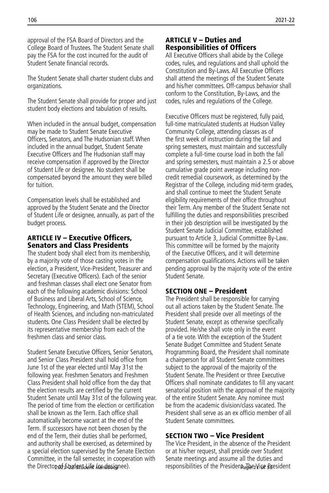approval of the FSA Board of Directors and the College Board of Trustees. The Student Senate shall pay the FSA for the cost incurred for the audit of Student Senate financial records.

The Student Senate shall charter student clubs and organizations.

The Student Senate shall provide for proper and just student body elections and tabulation of results.

When included in the annual budget, compensation may be made to Student Senate Executive Officers, Senators, and The Hudsonian staff. When included in the annual budget, Student Senate Executive Officers and The Hudsonian staff may receive compensation if approved by the Director of Student Life or designee. No student shall be compensated beyond the amount they were billed for tuition.

Compensation levels shall be established and approved by the Student Senate and the Director of Student Life or designee, annually, as part of the budget process.

#### ARTICLE IV – Executive Officers, Senators and Class Presidents

The student body shall elect from its membership, by a majority vote of those casting votes in the election, a President, Vice-President, Treasurer and Secretary (Executive Officers). Each of the senior and freshman classes shall elect one Senator from each of the following academic divisions: School of Business and Liberal Arts, School of Science, Technology, Engineering, and Math (STEM), School of Health Sciences, and including non-matriculated students. One Class President shall be elected by its representative membership from each of the freshmen class and senior class.

Student Senate Executive Officers, Senior Senators, and Senior Class President shall hold office from June 1st of the year elected until May 31st the following year. Freshmen Senators and Freshmen Class President shall hold office from the day that the election results are certified by the current Student Senate until May 31st of the following year. The period of time from the election or certification shall be known as the Term. Each office shall automatically become vacant at the end of the Term. If successors have not been chosen by the end of the Term, their duties shall be performed, and authority shall be exercised, as determined by a special election supervised by the Senate Election Committee, in the fall semester, in cooperation with the Directon of Student defer (or designee).

#### ARTICLE V – Duties and Responsibilities of Officers

All Executive Officers shall abide by the College codes, rules, and regulations and shall uphold the Constitution and By-Laws. All Executive Officers shall attend the meetings of the Student Senate and his/her committees. Off-campus behavior shall conform to the Constitution, By-Laws, and the codes, rules and regulations of the College.

Executive Officers must be registered, fully paid, full-time matriculated students at Hudson Valley Community College, attending classes as of the first week of instruction during the fall and spring semesters, must maintain and successfully complete a full-time course load in both the fall and spring semesters, must maintain a 2.5 or above cumulative grade point average including noncredit remedial coursework, as determined by the Registrar of the College, including mid-term grades, and shall continue to meet the Student Senate eligibility requirements of their office throughout their Term. Any member of the Student Senate not fulfilling the duties and responsibilities prescribed in their job description will be investigated by the Student Senate Judicial Committee, established pursuant to Article 3, Judicial Committee By-Law. This committee will be formed by the majority of the Executive Officers, and it will determine compensation qualifications. Actions will be taken pending approval by the majority vote of the entire Student Senate.

#### SECTION ONE – President

The President shall be responsible for carrying out all actions taken by the Student Senate. The President shall preside over all meetings of the Student Senate, except as otherwise specifically provided. He/she shall vote only in the event of a tie vote. With the exception of the Student Senate Budget Committee and Student Senate Programming Board, the President shall nominate a chairperson for all Student Senate committees subject to the approval of the majority of the Student Senate. The President or three Executive Officers shall nominate candidates to fill any vacant senatorial position with the approval of the majority of the entire Student Senate. Any nominee must be from the academic division/class vacated. The President shall serve as an ex officio member of all Student Senate committees.

## SECTION TWO – Vice President

The Vice President, in the absence of the President or at his/her request, shall preside over Student Senate meetings and assume all the duties and responsibilities of the President. Jaer/Vice Beesident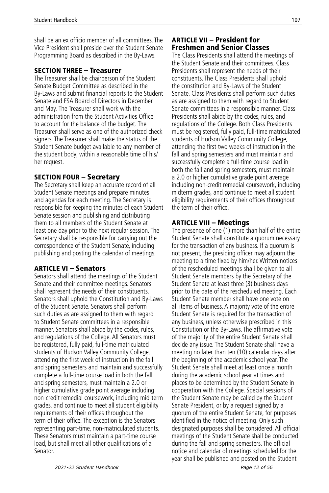shall be an ex officio member of all committees. The Vice President shall preside over the Student Senate Programming Board as described in the By-Laws.

#### SECTION THREE – Treasurer

The Treasurer shall be chairperson of the Student Senate Budget Committee as described in the By-Laws and submit financial reports to the Student Senate and FSA Board of Directors in December and May. The Treasurer shall work with the administration from the Student Activities Office to account for the balance of the budget. The Treasurer shall serve as one of the authorized check signers. The Treasurer shall make the status of the Student Senate budget available to any member of the student body, within a reasonable time of his/ her request.

## SECTION FOUR – Secretary

The Secretary shall keep an accurate record of all Student Senate meetings and prepare minutes and agendas for each meeting. The Secretary is responsible for keeping the minutes of each Student Senate session and publishing and distributing them to all members of the Student Senate at least one day prior to the next regular session. The Secretary shall be responsible for carrying out the correspondence of the Student Senate, including publishing and posting the calendar of meetings.

## ARTICLE VI – Senators

Senators shall attend the meetings of the Student Senate and their committee meetings. Senators shall represent the needs of their constituents. Senators shall uphold the Constitution and By-Laws of the Student Senate. Senators shall perform such duties as are assigned to them with regard to Student Senate committees in a responsible manner. Senators shall abide by the codes, rules, and regulations of the College. All Senators must be registered, fully paid, full-time matriculated students of Hudson Valley Community College, attending the first week of instruction in the fall and spring semesters and maintain and successfully complete a full-time course load in both the fall and spring semesters, must maintain a 2.0 or higher cumulative grade point average including non-credit remedial coursework, including mid-term grades, and continue to meet all student eligibility requirements of their offices throughout the term of their office. The exception is the Senators representing part-time, non-matriculated students. These Senators must maintain a part-time course load, but shall meet all other qualifications of a Senator.

#### ARTICLE VII – President for Freshmen and Senior Classes

The Class Presidents shall attend the meetings of the Student Senate and their committees. Class Presidents shall represent the needs of their constituents. The Class Presidents shall uphold the constitution and By-Laws of the Student Senate. Class Presidents shall perform such duties as are assigned to them with regard to Student Senate committees in a responsible manner. Class Presidents shall abide by the codes, rules, and regulations of the College. Both Class Presidents must be registered, fully paid, full-time matriculated students of Hudson Valley Community College, attending the first two weeks of instruction in the fall and spring semesters and must maintain and successfully complete a full-time course load in both the fall and spring semesters, must maintain a 2.0 or higher cumulative grade point average including non-credit remedial coursework, including midterm grades, and continue to meet all student eligibility requirements of their offices throughout the term of their office.

## ARTICLE VIII – Meetings

The presence of one (1) more than half of the entire Student Senate shall constitute a quorum necessary for the transaction of any business. If a quorum is not present, the presiding officer may adjourn the meeting to a time fixed by him/her. Written notices of the rescheduled meetings shall be given to all Student Senate members by the Secretary of the Student Senate at least three (3) business days prior to the date of the rescheduled meeting. Each Student Senate member shall have one vote on all items of business. A majority vote of the entire Student Senate is required for the transaction of any business, unless otherwise prescribed in this Constitution or the By-Laws. The affirmative vote of the majority of the entire Student Senate shall decide any issue. The Student Senate shall have a meeting no later than ten (10) calendar days after the beginning of the academic school year. The Student Senate shall meet at least once a month during the academic school year at times and places to be determined by the Student Senate in cooperation with the College. Special sessions of the Student Senate may be called by the Student Senate President, or by a request signed by a quorum of the entire Student Senate, for purposes identified in the notice of meeting. Only such designated purposes shall be considered. All official meetings of the Student Senate shall be conducted during the fall and spring semesters. The official notice and calendar of meetings scheduled for the year shall be published and posted on the Student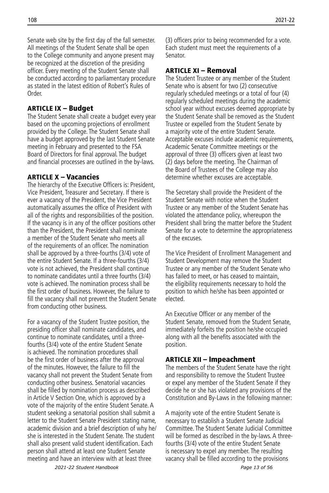Senate web site by the first day of the fall semester. All meetings of the Student Senate shall be open to the College community and anyone present may be recognized at the discretion of the presiding officer. Every meeting of the Student Senate shall be conducted according to parliamentary procedure as stated in the latest edition of Robert's Rules of Order.

#### ARTICLE IX – Budget

The Student Senate shall create a budget every year based on the upcoming projections of enrollment provided by the College. The Student Senate shall have a budget approved by the last Student Senate meeting in February and presented to the FSA Board of Directors for final approval. The budget and financial processes are outlined in the by-laws.

#### ARTICLE X – Vacancies

The hierarchy of the Executive Officers is: President, Vice President, Treasurer and Secretary. If there is ever a vacancy of the President, the Vice President automatically assumes the office of President with all of the rights and responsibilities of the position. If the vacancy is in any of the officer positions other than the President, the President shall nominate a member of the Student Senate who meets all of the requirements of an officer. The nomination shall be approved by a three-fourths (3/4) vote of the entire Student Senate. If a three-fourths (3/4) vote is not achieved, the President shall continue to nominate candidates until a three fourths (3/4) vote is achieved. The nomination process shall be the first order of business. However, the failure to fill the vacancy shall not prevent the Student Senate from conducting other business.

For a vacancy of the Student Trustee position, the presiding officer shall nominate candidates, and continue to nominate candidates, until a threefourths (3/4) vote of the entire Student Senate is achieved. The nomination procedures shall be the first order of business after the approval of the minutes. However, the failure to fill the vacancy shall not prevent the Student Senate from conducting other business. Senatorial vacancies shall be filled by nomination process as described in Article V Section One, which is approved by a vote of the majority of the entire Student Senate. A student seeking a senatorial position shall submit a letter to the Student Senate President stating name, academic division and a brief description of why he/ she is interested in the Student Senate. The student shall also present valid student identification. Each person shall attend at least one Student Senate meeting and have an interview with at least three

(3) officers prior to being recommended for a vote. Each student must meet the requirements of a Senator.

#### ARTICLE XI – Removal

The Student Trustee or any member of the Student Senate who is absent for two (2) consecutive regularly scheduled meetings or a total of four (4) regularly scheduled meetings during the academic school year without excuses deemed appropriate by the Student Senate shall be removed as the Student Trustee or expelled from the Student Senate by a majority vote of the entire Student Senate. Acceptable excuses include academic requirements, Academic Senate Committee meetings or the approval of three (3) officers given at least two (2) days before the meeting. The Chairman of the Board of Trustees of the College may also determine whether excuses are acceptable.

The Secretary shall provide the President of the Student Senate with notice when the Student Trustee or any member of the Student Senate has violated the attendance policy, whereupon the President shall bring the matter before the Student Senate for a vote to determine the appropriateness of the excuses.

The Vice President of Enrollment Management and Student Development may remove the Student Trustee or any member of the Student Senate who has failed to meet, or has ceased to maintain, the eligibility requirements necessary to hold the position to which he/she has been appointed or elected.

An Executive Officer or any member of the Student Senate, removed from the Student Senate, immediately forfeits the position he/she occupied along with all the benefits associated with the position.

#### ARTICLE XII – Impeachment

The members of the Student Senate have the right and responsibility to remove the Student Trustee or expel any member of the Student Senate if they decide he or she has violated any provisions of the Constitution and By-Laws in the following manner:

A majority vote of the entire Student Senate is necessary to establish a Student Senate Judicial Committee. The Student Senate Judicial Committee will be formed as described in the by-laws. A threefourths (3/4) vote of the entire Student Senate is necessary to expel any member. The resulting vacancy shall be filled according to the provisions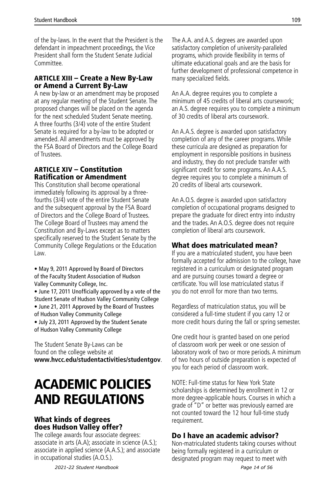<span id="page-14-0"></span>of the by-laws. In the event that the President is the defendant in impeachment proceedings, the Vice President shall form the Student Senate Judicial Committee.

#### ARTICLE XIII – Create a New By-Law or Amend a Current By-Law

A new by-law or an amendment may be proposed at any regular meeting of the Student Senate. The proposed changes will be placed on the agenda for the next scheduled Student Senate meeting. A three fourths (3/4) vote of the entire Student Senate is required for a by-law to be adopted or amended. All amendments must be approved by the FSA Board of Directors and the College Board of Trustees.

#### ARTICLE XIV – Constitution Ratification or Amendment

This Constitution shall become operational immediately following its approval by a threefourths (3/4) vote of the entire Student Senate and the subsequent approval by the FSA Board of Directors and the College Board of Trustees. The College Board of Trustees may amend the Constitution and By-Laws except as to matters specifically reserved to the Student Senate by the Community College Regulations or the Education Law.

• May 9, 2011 Approved by Board of Directors of the Faculty Student Association of Hudson Valley Community College, Inc.

• June 17, 2011 Unofficially approved by a vote of the Student Senate of Hudson Valley Community College • June 21, 2011 Approved by the Board of Trustees

of Hudson Valley Community College

• July 23, 2011 Approved by the Student Senate of Hudson Valley Community College

The Student Senate By-Laws can be found on the college website at **www.hvcc.edu/studentactivities/studentgov**.

# ACADEMIC POLICIES AND REGULATIONS

## What kinds of degrees does Hudson Valley offer?

The college awards four associate degrees: associate in arts (A.A); associate in science (A.S.); associate in applied science (A.A.S.); and associate in occupational studies (A.O.S.).

The A.A. and A.S. degrees are awarded upon satisfactory completion of university-paralleled programs, which provide flexibility in terms of ultimate educational goals and are the basis for further development of professional competence in many specialized fields.

An A.A. degree requires you to complete a minimum of 45 credits of liberal arts coursework; an A.S. degree requires you to complete a minimum of 30 credits of liberal arts coursework.

An A.A.S. degree is awarded upon satisfactory completion of any of the career programs. While these curricula are designed as preparation for employment in responsible positions in business and industry, they do not preclude transfer with significant credit for some programs. An A.A.S. degree requires you to complete a minimum of 20 credits of liberal arts coursework.

An A.O.S. degree is awarded upon satisfactory completion of occupational programs designed to prepare the graduate for direct entry into industry and the trades. An A.O.S. degree does not require completion of liberal arts coursework.

## What does matriculated mean?

If you are a matriculated student, you have been formally accepted for admission to the college, have registered in a curriculum or designated program and are pursuing courses toward a degree or certificate. You will lose matriculated status if you do not enroll for more than two terms.

Regardless of matriculation status, you will be considered a full-time student if you carry 12 or more credit hours during the fall or spring semester.

One credit hour is granted based on one period of classroom work per week or one session of laboratory work of two or more periods. A minimum of two hours of outside preparation is expected of you for each period of classroom work.

NOTE: Full-time status for New York State scholarships is determined by enrollment in 12 or more degree-applicable hours. Courses in which a grade of "D" or better was previously earned are not counted toward the 12 hour full-time study requirement.

## Do I have an academic advisor?

Non-matriculated students taking courses without being formally registered in a curriculum or designated program may request to meet with

*2021-22 Student Handbook Page 14 of 56*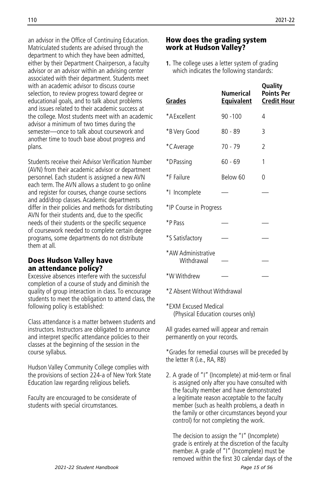an advisor in the Office of Continuing Education. Matriculated students are advised through the department to which they have been admitted, either by their Department Chairperson, a faculty advisor or an advisor within an advising center associated with their department. Students meet with an academic advisor to discuss course selection, to review progress toward degree or educational goals, and to talk about problems and issues related to their academic success at the college. Most students meet with an academic advisor a minimum of two times during the semester—once to talk about coursework and another time to touch base about progress and plans.

Students receive their Advisor Verification Number (AVN) from their academic advisor or department personnel. Each student is assigned a new AVN each term. The AVN allows a student to go online and register for courses, change course sections and add/drop classes. Academic departments differ in their policies and methods for distributing AVN for their students and, due to the specific needs of their students or the specific sequence of coursework needed to complete certain degree programs, some departments do not distribute them at all.

#### Does Hudson Valley have an attendance policy?

Excessive absences interfere with the successful completion of a course of study and diminish the quality of group interaction in class. To encourage students to meet the obligation to attend class, the following policy is established:

Class attendance is a matter between students and instructors. Instructors are obligated to announce and interpret specific attendance policies to their classes at the beginning of the session in the course syllabus.

Hudson Valley Community College complies with the provisions of section 224-a of New York State Education law regarding religious beliefs.

Faculty are encouraged to be considerate of students with special circumstances.

#### How does the grading system work at Hudson Valley?

**1.** The college uses a letter system of grading which indicates the following standards:

| Grades                           | Numerical<br><u>Equivalent</u> | Quality<br><b>Points Per</b><br><b>Credit Hour</b> |
|----------------------------------|--------------------------------|----------------------------------------------------|
| *A Fxcellent                     | $90 - 100$                     | 4                                                  |
| *B Very Good                     | $80 - 89$                      | 3                                                  |
| *C Average                       | 70 - 79                        | 2                                                  |
| *D Passing                       | $60 - 69$                      | 1                                                  |
| *F Failure                       | Below 60                       | 0                                                  |
| *1 Incomplete                    |                                |                                                    |
| *IP Course in Progress           |                                |                                                    |
| *P Pass                          |                                |                                                    |
| *S Satisfactory                  |                                |                                                    |
| *AW Administrative<br>Withdrawal |                                |                                                    |
| *W Withdrew                      |                                |                                                    |

\*Z Absent Without Withdrawal

\*EXM Excused Medical (Physical Education courses only)

All grades earned will appear and remain permanently on your records.

\*Grades for remedial courses will be preceded by the letter R (i.e., RA, RB)

2. A grade of "I" (Incomplete) at mid-term or final is assigned only after you have consulted with the faculty member and have demonstrated a legitimate reason acceptable to the faculty member (such as health problems, a death in the family or other circumstances beyond your control) for not completing the work.

The decision to assign the "I" (Incomplete) grade is entirely at the discretion of the faculty member. A grade of "I" (Incomplete) must be removed within the first 30 calendar days of the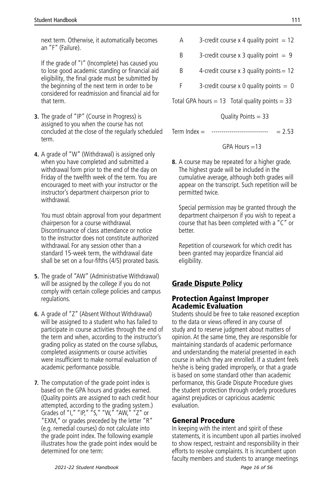next term. Otherwise, it automatically becomes an "F" (Failure).

If the grade of "I" (Incomplete) has caused you to lose good academic standing or financial aid eligibility, the final grade must be submitted by the beginning of the next term in order to be considered for readmission and financial aid for that term.

- **3.** The grade of "IP" (Course in Progress) is assigned to you when the course has not concluded at the close of the regularly scheduled term.
- **4.** A grade of "W" (Withdrawal) is assigned only when you have completed and submitted a withdrawal form prior to the end of the day on Friday of the twelfth week of the term. You are encouraged to meet with your instructor or the instructor's department chairperson prior to withdrawal.

You must obtain approval from your department chairperson for a course withdrawal. Discontinuance of class attendance or notice to the instructor does not constitute authorized withdrawal. For any session other than a standard 15-week term, the withdrawal date shall be set on a four-fifths (4/5) prorated basis.

- **5.** The grade of "AW" (Administrative Withdrawal) will be assigned by the college if you do not comply with certain college policies and campus regulations.
- **6.** A grade of "Z" (Absent Without Withdrawal) will be assigned to a student who has failed to participate in course activities through the end of the term and when, according to the instructor's grading policy as stated on the course syllabus, completed assignments or course activities were insufficient to make normal evaluation of academic performance possible.
- **7.** The computation of the grade point index is based on the GPA hours and grades earned. (Quality points are assigned to each credit hour attempted, according to the grading system.) Grades of "I," "IP," "S," "W," "AW," "Z" or "EXM," or grades preceded by the letter "R" (e.g. remedial courses) do not calculate into the grade point index. The following example illustrates how the grade point index would be determined for one term:
- A  $3$ -credit course x 4 quality point = 12
- B 3-credit course x 3 quality point  $= 9$
- B 4-credit course  $x$  3 quality points = 12
- F 3-credit course x 0 quality points  $= 0$

Total GPA hours  $= 13$  Total quality points  $= 33$ 

Quality Points = 33

Term Index = ---------------------------- = 2.53

$$
GPA \; \text{Hours} = 13
$$

**8.** A course may be repeated for a higher grade. The highest grade will be included in the cumulative average, although both grades will appear on the transcript. Such repetition will be permitted twice.

Special permission may be granted through the department chairperson if you wish to repeat a course that has been completed with a "C" or better.

Repetition of coursework for which credit has been granted may jeopardize financial aid eligibility.

## Grade Dispute Policy

## Protection Against Improper Academic Evaluation

Students should be free to take reasoned exception to the data or views offered in any course of study and to reserve judgment about matters of opinion. At the same time, they are responsible for maintaining standards of academic performance and understanding the material presented in each course in which they are enrolled. If a student feels he/she is being graded improperly, or that a grade is based on some standard other than academic performance, this Grade Dispute Procedure gives the student protection through orderly procedures against prejudices or capricious academic evaluation.

## General Procedure

In keeping with the intent and spirit of these statements, it is incumbent upon all parties involved to show respect, restraint and responsibility in their efforts to resolve complaints. It is incumbent upon faculty members and students to arrange meetings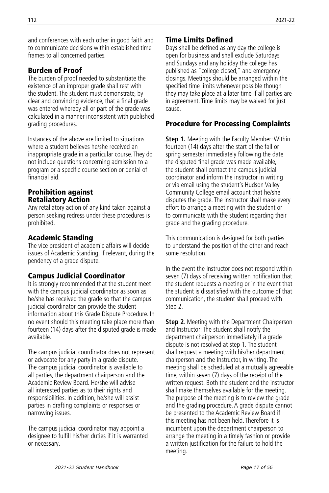and conferences with each other in good faith and to communicate decisions within established time frames to all concerned parties.

## Burden of Proof

The burden of proof needed to substantiate the existence of an improper grade shall rest with the student. The student must demonstrate, by clear and convincing evidence, that a final grade was entered whereby all or part of the grade was calculated in a manner inconsistent with published grading procedures.

Instances of the above are limited to situations where a student believes he/she received an inappropriate grade in a particular course. They do not include questions concerning admission to a program or a specific course section or denial of financial aid.

## Prohibition against Retaliatory Action

Any retaliatory action of any kind taken against a person seeking redress under these procedures is prohibited.

## Academic Standing

The vice president of academic affairs will decide issues of Academic Standing, if relevant, during the pendency of a grade dispute.

## Campus Judicial Coordinator

It is strongly recommended that the student meet with the campus judicial coordinator as soon as he/she has received the grade so that the campus judicial coordinator can provide the student information about this Grade Dispute Procedure. In no event should this meeting take place more than fourteen (14) days after the disputed grade is made available.

The campus judicial coordinator does not represent or advocate for any party in a grade dispute. The campus judicial coordinator is available to all parties, the department chairperson and the Academic Review Board. He/she will advise all interested parties as to their rights and responsibilities. In addition, he/she will assist parties in drafting complaints or responses or narrowing issues.

The campus judicial coordinator may appoint a designee to fulfill his/her duties if it is warranted or necessary.

## Time Limits Defined

Days shall be defined as any day the college is open for business and shall exclude Saturdays and Sundays and any holiday the college has published as "college closed," and emergency closings. Meetings should be arranged within the specified time limits whenever possible though they may take place at a later time if all parties are in agreement. Time limits may be waived for just cause.

## Procedure for Processing Complaints

**Step 1.** Meeting with the Faculty Member: Within fourteen (14) days after the start of the fall or spring semester immediately following the date the disputed final grade was made available, the student shall contact the campus judicial coordinator and inform the instructor in writing or via email using the student's Hudson Valley Community College email account that he/she disputes the grade. The instructor shall make every effort to arrange a meeting with the student or to communicate with the student regarding their grade and the grading procedure.

This communication is designed for both parties to understand the position of the other and reach some resolution.

In the event the instructor does not respond within seven (7) days of receiving written notification that the student requests a meeting or in the event that the student is dissatisfied with the outcome of that communication, the student shall proceed with Step 2.

**Step 2.** Meeting with the Department Chairperson and Instructor: The student shall notify the department chairperson immediately if a grade dispute is not resolved at step 1. The student shall request a meeting with his/her department chairperson and the Instructor, in writing. The meeting shall be scheduled at a mutually agreeable time, within seven (7) days of the receipt of the written request. Both the student and the instructor shall make themselves available for the meeting. The purpose of the meeting is to review the grade and the grading procedure. A grade dispute cannot be presented to the Academic Review Board if this meeting has not been held. Therefore it is incumbent upon the department chairperson to arrange the meeting in a timely fashion or provide a written justification for the failure to hold the meeting.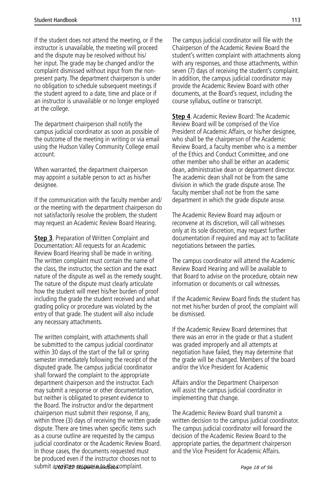If the student does not attend the meeting, or if the instructor is unavailable, the meeting will proceed and the dispute may be resolved without his/ her input. The grade may be changed and/or the complaint dismissed without input from the nonpresent party. The department chairperson is under no obligation to schedule subsequent meetings if the student agreed to a date, time and place or if an instructor is unavailable or no longer employed at the college.

The department chairperson shall notify the campus judicial coordinator as soon as possible of the outcome of the meeting in writing or via email using the Hudson Valley Community College email account.

When warranted, the department chairperson may appoint a suitable person to act as his/her designee.

If the communication with the faculty member and/ or the meeting with the department chairperson do not satisfactorily resolve the problem, the student may request an Academic Review Board Hearing.

**Step 3**. Preparation of Written Complaint and Documentation: All requests for an Academic Review Board Hearing shall be made in writing. The written complaint must contain the name of the class, the instructor, the section and the exact nature of the dispute as well as the remedy sought. The nature of the dispute must clearly articulate how the student will meet his/her burden of proof including the grade the student received and what grading policy or procedure was violated by the entry of that grade. The student will also include any necessary attachments.

The written complaint, with attachments shall be submitted to the campus judicial coordinator within 30 days of the start of the fall or spring semester immediately following the receipt of the disputed grade. The campus judicial coordinator shall forward the complaint to the appropriate department chairperson and the instructor. Each may submit a response or other documentation, but neither is obligated to present evidence to the Board. The instructor and/or the department chairperson must submit their response, if any, within three (3) days of receiving the written grade dispute. There are times when specific items such as a course outline are requested by the campus judicial coordinator or the Academic Review Board. In those cases, the documents requested must be produced even if the instructor chooses not to submit a *zouitten sesponse to the complaint*. The complaint extending the complaint of 56

The campus judicial coordinator will file with the Chairperson of the Academic Review Board the student's written complaint with attachments along with any responses, and those attachments, within seven (7) days of receiving the student's complaint. In addition, the campus judicial coordinator may provide the Academic Review Board with other documents, at the Board's request, including the course syllabus, outline or transcript.

**Step 4**. Academic Review Board: The Academic Review Board will be comprised of the Vice President of Academic Affairs, or his/her designee, who shall be the chairperson of the Academic Review Board, a faculty member who is a member of the Ethics and Conduct Committee, and one other member who shall be either an academic dean, administrative dean or department director. The academic dean shall not be from the same division in which the grade dispute arose. The faculty member shall not be from the same department in which the grade dispute arose.

The Academic Review Board may adjourn or reconvene at its discretion, will call witnesses only at its sole discretion, may request further documentation if required and may act to facilitate negotiations between the parties.

The campus coordinator will attend the Academic Review Board Hearing and will be available to that Board to advise on the procedure, obtain new information or documents or call witnesses.

If the Academic Review Board finds the student has not met his/her burden of proof, the complaint will be dismissed.

If the Academic Review Board determines that there was an error in the grade or that a student was graded improperly and all attempts at negotiation have failed, they may determine that the grade will be changed. Members of the board and/or the Vice President for Academic

Affairs and/or the Department Chairperson will assist the campus judicial coordinator in implementing that change.

The Academic Review Board shall transmit a written decision to the campus judicial coordinator. The campus judicial coordinator will forward the decision of the Academic Review Board to the appropriate parties, the department chairperson and the Vice President for Academic Affairs.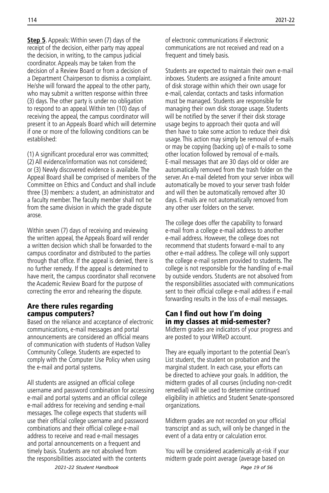**Step 5**. Appeals: Within seven (7) days of the receipt of the decision, either party may appeal the decision, in writing, to the campus judicial coordinator. Appeals may be taken from the decision of a Review Board or from a decision of a Department Chairperson to dismiss a complaint. He/she will forward the appeal to the other party, who may submit a written response within three (3) days. The other party is under no obligation to respond to an appeal. Within ten (10) days of receiving the appeal, the campus coordinator will present it to an Appeals Board which will determine if one or more of the following conditions can be established:

(1) A significant procedural error was committed; (2) All evidence/information was not considered; or (3) Newly discovered evidence is available. The Appeal Board shall be comprised of members of the Committee on Ethics and Conduct and shall include three (3) members: a student, an administrator and a faculty member. The faculty member shall not be from the same division in which the grade dispute arose.

Within seven (7) days of receiving and reviewing the written appeal, the Appeals Board will render a written decision which shall be forwarded to the campus coordinator and distributed to the parties through that office. If the appeal is denied, there is no further remedy. If the appeal is determined to have merit, the campus coordinator shall reconvene the Academic Review Board for the purpose of correcting the error and rehearing the dispute.

#### Are there rules regarding campus computers?

Based on the reliance and acceptance of electronic communications, e-mail messages and portal announcements are considered an official means of communication with students of Hudson Valley Community College. Students are expected to comply with the Computer Use Policy when using the e-mail and portal systems.

All students are assigned an official college username and password combination for accessing e-mail and portal systems and an official college e-mail address for receiving and sending e-mail messages. The college expects that students will use their official college username and password combinations and their official college e-mail address to receive and read e-mail messages and portal announcements on a frequent and timely basis. Students are not absolved from the responsibilities associated with the contents

of electronic communications if electronic communications are not received and read on a frequent and timely basis.

Students are expected to maintain their own e-mail inboxes. Students are assigned a finite amount of disk storage within which their own usage for e-mail, calendar, contacts and tasks information must be managed. Students are responsible for managing their own disk storage usage. Students will be notified by the server if their disk storage usage begins to approach their quota and will then have to take some action to reduce their disk usage. This action may simply be removal of e-mails or may be copying (backing up) of e-mails to some other location followed by removal of e-mails. E-mail messages that are 30 days old or older are automatically removed from the trash folder on the server. An e-mail deleted from your server inbox will automatically be moved to your server trash folder and will then be automatically removed after 30 days. E-mails are not automatically removed from any other user folders on the server.

The college does offer the capability to forward e-mail from a college e-mail address to another e-mail address. However, the college does not recommend that students forward e-mail to any other e-mail address. The college will only support the college e-mail system provided to students. The college is not responsible for the handling of e-mail by outside vendors. Students are not absolved from the responsibilities associated with communications sent to their official college e-mail address if e-mail forwarding results in the loss of e-mail messages.

#### Can I find out how I'm doing in my classes at mid-semester?

Midterm grades are indicators of your progress and are posted to your WIReD account.

They are equally important to the potential Dean's List student, the student on probation and the marginal student. In each case, your efforts can be directed to achieve your goals. In addition, the midterm grades of all courses (including non-credit remedial) will be used to determine continued eligibility in athletics and Student Senate-sponsored organizations.

Midterm grades are not recorded on your official transcript and as such, will only be changed in the event of a data entry or calculation error.

You will be considered academically at-risk if your midterm grade point average (average based on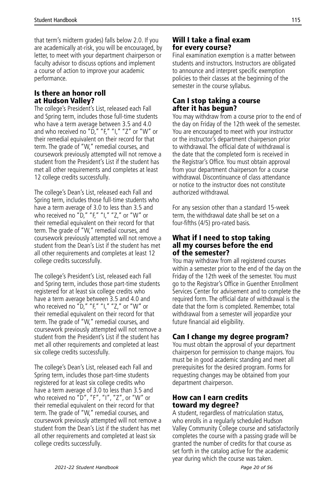that term's midterm grades) falls below 2.0. If you are academically at-risk, you will be encouraged, by letter, to meet with your department chairperson or faculty advisor to discuss options and implement a course of action to improve your academic performance.

## Is there an honor roll at Hudson Valley?

The college's President's List, released each Fall and Spring term, includes those full-time students who have a term average between 3.5 and 4.0 and who received no " $\tilde{D}$ ," "F," "I," "Z" or "W" or their remedial equivalent on their record for that term. The grade of "W," remedial courses, and coursework previously attempted will not remove a student from the President's List if the student has met all other requirements and completes at least 12 college credits successfully.

The college's Dean's List, released each Fall and Spring term, includes those full-time students who have a term average of 3.0 to less than 3.5 and who received no "D," "F," "I," "Z," or "W" or their remedial equivalent on their record for that term. The grade of "W," remedial courses, and coursework previously attempted will not remove a student from the Dean's List if the student has met all other requirements and completes at least 12 college credits successfully.

The college's President's List, released each Fall and Spring term, includes those part-time students registered for at least six college credits who have a term average between 3.5 and 4.0 and who received no "D," "F," "I," "Z," or "W" or their remedial equivalent on their record for that term. The grade of "W," remedial courses, and coursework previously attempted will not remove a student from the President's List if the student has met all other requirements and completed at least six college credits successfully.

The college's Dean's List, released each Fall and Spring term, includes those part-time students registered for at least six college credits who have a term average of 3.0 to less than 3.5 and who received no "D", "F", "I", "Z", or "W" or their remedial equivalent on their record for that term. The grade of "W," remedial courses, and coursework previously attempted will not remove a student from the Dean's List if the student has met all other requirements and completed at least six college credits successfully.

## Will I take a final exam for every course?

Final examination exemption is a matter between students and instructors. Instructors are obligated to announce and interpret specific exemption policies to their classes at the beginning of the semester in the course syllabus.

## Can I stop taking a course after it has begun?

You may withdraw from a course prior to the end of the day on Friday of the 12th week of the semester. You are encouraged to meet with your instructor or the instructor's department chairperson prior to withdrawal. The official date of withdrawal is the date that the completed form is received in the Registrar's Office. You must obtain approval from your department chairperson for a course withdrawal. Discontinuance of class attendance or notice to the instructor does not constitute authorized withdrawal.

For any session other than a standard 15-week term, the withdrawal date shall be set on a four-fifths (4/5) pro-rated basis.

#### What if I need to stop taking all my courses before the end of the semester?

You may withdraw from all registered courses within a semester prior to the end of the day on the Friday of the 12th week of the semester. You must go to the Registrar's Office in Guenther Enrollment Services Center for advisement and to complete the required form. The official date of withdrawal is the date that the form is completed. Remember, total withdrawal from a semester will jeopardize your future financial aid eligibility.

## Can I change my degree program?

You must obtain the approval of your department chairperson for permission to change majors. You must be in good academic standing and meet all prerequisites for the desired program. Forms for requesting changes may be obtained from your department chairperson.

## How can I earn credits toward my degree?

A student, regardless of matriculation status, who enrolls in a regularly scheduled Hudson Valley Community College course and satisfactorily completes the course with a passing grade will be granted the number of credits for that course as set forth in the catalog active for the academic year during which the course was taken.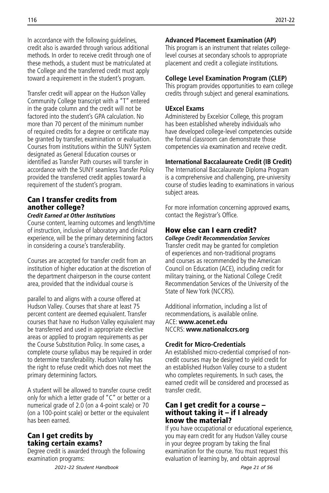In accordance with the following guidelines, credit also is awarded through various additional methods. In order to receive credit through one of these methods, a student must be matriculated at the College and the transferred credit must apply toward a requirement in the student's program.

Transfer credit will appear on the Hudson Valley Community College transcript with a "T" entered in the grade column and the credit will not be factored into the student's GPA calculation. No more than 70 percent of the minimum number of required credits for a degree or certificate may be granted by transfer, examination or evaluation. Courses from institutions within the SUNY System designated as General Education courses or identified as Transfer Path courses will transfer in accordance with the SUNY seamless Transfer Policy provided the transferred credit applies toward a requirement of the student's program.

## Can I transfer credits from another college?

#### *Credit Earned at Other Institutions*

Course content, learning outcomes and length/time of instruction, inclusive of laboratory and clinical experience, will be the primary determining factors in considering a course's transferability.

Courses are accepted for transfer credit from an institution of higher education at the discretion of the department chairperson in the course content area, provided that the individual course is

parallel to and aligns with a course offered at Hudson Valley. Courses that share at least 75 percent content are deemed equivalent. Transfer courses that have no Hudson Valley equivalent may be transferred and used in appropriate elective areas or applied to program requirements as per the Course Substitution Policy. In some cases, a complete course syllabus may be required in order to determine transferability. Hudson Valley has the right to refuse credit which does not meet the primary determining factors.

A student will be allowed to transfer course credit only for which a letter grade of "C" or better or a numerical grade of 2.0 (on a 4-point scale) or 70 (on a 100-point scale) or better or the equivalent has been earned.

## Can I get credits by taking certain exams?

Degree credit is awarded through the following examination programs:

## **Advanced Placement Examination (AP)**

This program is an instrument that relates collegelevel courses at secondary schools to appropriate placement and credit a collegiate institutions.

#### **College Level Examination Program (CLEP)**

This program provides opportunities to earn college credits through subject and general examinations.

## **UExcel Exams**

Administered by Excelsior College, this program has been established whereby individuals who have developed college-level competencies outside the formal classroom can demonstrate those competencies via examination and receive credit.

## **International Baccalaureate Credit (IB Credit)**

The International Baccalaureate Diploma Program is a comprehensive and challenging, pre-university course of studies leading to examinations in various subject areas.

For more information concerning approved exams, contact the Registrar's Office.

## How else can I earn credit?

*College Credit Recommendation Services* Transfer credit may be granted for completion of experiences and non-traditional programs and courses as recommended by the American Council on Education (ACE), including credit for military training, or the National College Credit Recommendation Services of the University of the State of New York (NCCRS).

Additional information, including a list of recommendations, is available online. ACE: **www.acenet.edu** NCCRS: **www.nationalccrs.org**

## **Credit for Micro-Credentials**

An established micro-credential comprised of noncredit courses may be designed to yield credit for an established Hudson Valley course to a student who completes requirements. In such cases, the earned credit will be considered and processed as transfer credit.

#### Can I get credit for a course – without taking it – if I already know the material?

If you have occupational or educational experience, you may earn credit for any Hudson Valley course in your degree program by taking the final examination for the course. You must request this evaluation of learning by, and obtain approval

*2021-22 Student Handbook Page 21 of 56*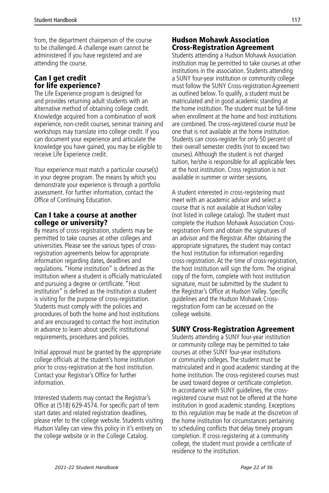from, the department chairperson of the course to be challenged. A challenge exam cannot be administered if you have registered and are attending the course.

## Can I get credit for life experience?

The Life Experience program is designed for and provides returning adult students with an alternative method of obtaining college credit. Knowledge acquired from a combination of work experience, non-credit courses, seminar training and workshops may translate into college credit. If you can document your experience and articulate the knowledge you have gained, you may be eligible to receive Life Experience credit.

Your experience must match a particular course(s) in your degree program. The means by which you demonstrate your experience is through a portfolio assessment. For further information, contact the Office of Continuing Education.

#### Can I take a course at another college or university?

By means of cross-registration, students may be permitted to take courses at other colleges and universities. Please see the various types of crossregistration agreements below for appropriate information regarding dates, deadlines and regulations. "Home institution" is defined as the institution where a student is officially matriculated and pursuing a degree or certificate. "Host institution" is defined as the institution a student is visiting for the purpose of cross-registration. Students must comply with the policies and procedures of both the home and host institutions and are encouraged to contact the host institution in advance to learn about specific institutional requirements, procedures and policies.

Initial approval must be granted by the appropriate college officials at the student's home institution prior to cross-registration at the host institution. Contact your Registrar's Office for further information.

Interested students may contact the Registrar's Office at (518) 629-4574. For specific part of term start dates and related registration deadlines, please refer to the college website. Students visiting Hudson Valley can view this policy in it's entirety on the college website or in the College Catalog.

## Hudson Mohawk Association Cross-Registration Agreement

Students attending a Hudson Mohawk Association institution may be permitted to take courses at other institutions in the association. Students attending a SUNY four-year institution or community college must follow the SUNY Cross-registration Agreement as outlined below. To qualify, a student must be matriculated and in good academic standing at the home institution. The student must be full-time when enrollment at the home and host institutions are combined. The cross-registered course must be one that is not available at the home institution. Students can cross-register for only 50 percent of their overall semester credits (not to exceed two courses). Although the student is not charged tuition, he/she is responsible for all applicable fees at the host institution. Cross registration is not available in summer or winter sessions.

A student interested in cross-registering must meet with an academic advisor and select a course that is not available at Hudson Valley (not listed in college catalog). The student must complete the Hudson Mohawk Association Crossregistration Form and obtain the signatures of an advisor and the Registrar. After obtaining the appropriate signatures, the student may contact the host institution for information regarding cross-registration. At the time of cross-registration, the host institution will sign the form. The original copy of the form, complete with host institution signature, must be submitted by the student to the Registrar's Office at Hudson Valley. Specific guidelines and the Hudson Mohawk Crossregistration Form can be accessed on the college website.

## SUNY Cross-Registration Agreement

Students attending a SUNY four-year institution or community college may be permitted to take courses at other SUNY four-year institutions or community colleges. The student must be matriculated and in good academic standing at the home institution. The cross-registered courses must be used toward degree or certificate completion. In accordance with SUNY guidelines, the crossregistered course must not be offered at the home institution in good academic standing. Exceptions to this regulation may be made at the discretion of the home institution for circumstances pertaining to scheduling conflicts that delay timely program completion. If cross-registering at a community college, the student must provide a certificate of residence to the institution.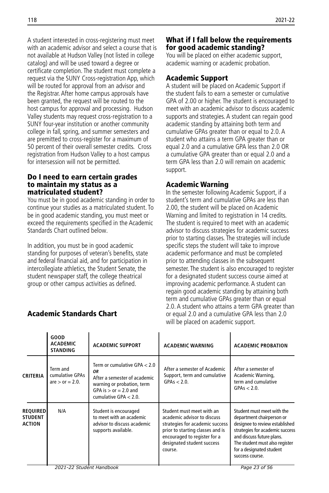A student interested in cross-registering must meet with an academic advisor and select a course that is not available at Hudson Valley (not listed in college catalog) and will be used toward a degree or certificate completion. The student must complete a request via the SUNY Cross-registration App, which will be routed for approval from an advisor and the Registrar. After home campus approvals have been granted, the request will be routed to the host campus for approval and processing. Hudson Valley students may request cross-registration to a SUNY four-year institution or another community college in fall, spring, and summer semesters and are premitted to cross-register for a maximum of 50 percent of their overall semester credits. Cross registration from Hudson Valley to a host campus for intersession will not be permitted.

#### Do I need to earn certain grades to maintain my status as a matriculated student?

You must be in good academic standing in order to continue your studies as a matriculated student. To be in good academic standing, you must meet or exceed the requirements specified in the Academic Standards Chart outlined below.

In addition, you must be in good academic standing for purposes of veteran's benefits, state and federal financial aid, and for participation in intercollegiate athletics, the Student Senate, the student newspaper staff, the college theatrical group or other campus activities as defined.

## Academic Standards Chart

## What if I fall below the requirements for good academic standing?

You will be placed on either academic support, academic warning or academic probation.

## Academic Support

A student will be placed on Academic Support if the student fails to earn a semester or cumulative GPA of 2.00 or higher. The student is encouraged to meet with an academic advisor to discuss academic supports and strategies. A student can regain good academic standing by attaining both term and cumulative GPAs greater than or equal to 2.0. A student who attains a term GPA greater than or equal 2.0 and a cumulative GPA less than 2.0 OR a cumulative GPA greater than or equal 2.0 and a term GPA less than 2.0 will remain on academic support.

## Academic Warning

In the semester following Academic Support, if a student's term and cumulative GPAs are less than 2.00, the student will be placed on Academic Warning and limited to registration in 14 credits. The student is required to meet with an academic advisor to discuss strategies for academic success prior to starting classes. The strategies will include specific steps the student will take to improve academic performance and must be completed prior to attending classes in the subsequent semester. The student is also encouraged to register for a designated student success course aimed at improving academic performance. A student can regain good academic standing by attaining both term and cumulative GPAs greater than or equal 2.0. A student who attains a term GPA greater than or equal 2.0 and a cumulative GPA less than 2.0 will be placed on academic support.

|                                                    | <b>GOOD</b><br><b>ACADEMIC</b><br><b>STANDING</b>   | <b>ACADEMIC SUPPORT</b>                                                                                                                                   | <b>ACADEMIC WARNING</b>                                                                                                                                                                                  | <b>ACADEMIC PROBATION</b>                                                                                                                                                                                                                  |
|----------------------------------------------------|-----------------------------------------------------|-----------------------------------------------------------------------------------------------------------------------------------------------------------|----------------------------------------------------------------------------------------------------------------------------------------------------------------------------------------------------------|--------------------------------------------------------------------------------------------------------------------------------------------------------------------------------------------------------------------------------------------|
| <b>CRITERIA</b>                                    | Term and<br>cumulative GPAs<br>are $>$ or $= 2.0$ . | Term or cumulative GPA < 2.0<br>ΟR<br>After a semester of academic<br>warning or probation, term<br>GPA is $>$ or $= 2.0$ and<br>cumulative GPA $< 2.0$ . | After a semester of Academic<br>Support, term and cumulative<br>$GPAS < 2.0$ .                                                                                                                           | After a semester of<br>Academic Warning,<br>term and cumulative<br>$GPAS < 2.0$ .                                                                                                                                                          |
| <b>REQUIRED</b><br><b>STUDENT</b><br><b>ACTION</b> | N/A                                                 | Student is encouraged<br>to meet with an academic<br>advisor to discuss academic<br>supports available.                                                   | Student must meet with an<br>academic advisor to discuss<br>strategies for academic success<br>prior to starting classes and is<br>encouraged to register for a<br>designated student success<br>course. | Student must meet with the<br>department chairperson or<br>designee to review established<br>strategies for academic success<br>and discuss future plans.<br>The student must also register<br>for a designated student<br>success course. |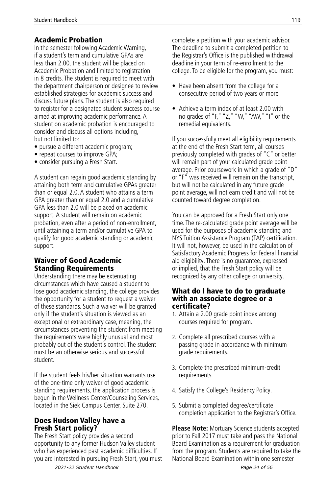## Academic Probation

In the semester following Academic Warning, if a student's term and cumulative GPAs are less than 2.00, the student will be placed on Academic Probation and limited to registration in 8 credits. The student is required to meet with the department chairperson or designee to review established strategies for academic success and discuss future plans. The student is also required to register for a designated student success course aimed at improving academic performance. A student on academic probation is encouraged to consider and discuss all options including, but not limited to:

- pursue a different academic program;
- repeat courses to improve GPA;
- consider pursuing a Fresh Start.

A student can regain good academic standing by attaining both term and cumulative GPAs greater than or equal 2.0. A student who attains a term GPA greater than or equal 2.0 and a cumulative GPA less than 2.0 will be placed on academic support. A student will remain on academic probation, even after a period of non-enrollment, until attaining a term and/or cumulative GPA to qualify for good academic standing or academic support.

#### Waiver of Good Academic Standing Requirements

Understanding there may be extenuating circumstances which have caused a student to lose good academic standing, the college provides the opportunity for a student to request a waiver of these standards. Such a waiver will be granted only if the student's situation is viewed as an exceptional or extraordinary case, meaning, the circumstances preventing the student from meeting the requirements were highly unusual and most probably out of the student's control. The student must be an otherwise serious and successful student.

If the student feels his/her situation warrants use of the one-time only waiver of good academic standing requirements, the application process is begun in the Wellness Center/Counseling Services, located in the Siek Campus Center, Suite 270.

## Does Hudson Valley have a Fresh Start policy?

The Fresh Start policy provides a second opportunity to any former Hudson Valley student who has experienced past academic difficulties. If you are interested in pursuing Fresh Start, you must complete a petition with your academic advisor. The deadline to submit a completed petition to the Registrar's Office is the published withdrawal deadline in your term of re-enrollment to the college. To be eligible for the program, you must:

- Have been absent from the college for a consecutive period of two years or more.
- Achieve a term index of at least 2.00 with no grades of "F," "Z," "W," "AW," "I" or the remedial equivalents.

If you successfully meet all eligibility requirements at the end of the Fresh Start term, all courses previously completed with grades of "C" or better will remain part of your calculated grade point average. Prior coursework in which a grade of "D" or "F" was received will remain on the transcript, but will not be calculated in any future grade point average, will not earn credit and will not be counted toward degree completion.

You can be approved for a Fresh Start only one time. The re-calculated grade point average will be used for the purposes of academic standing and NYS Tuition Assistance Program (TAP) certification. It will not, however, be used in the calculation of Satisfactory Academic Progress for federal financial aid eligibility. There is no guarantee, expressed or implied, that the Fresh Start policy will be recognized by any other college or university.

#### What do I have to do to graduate with an associate degree or a certificate?

- 1. Attain a 2.00 grade point index among courses required for program.
- 2. Complete all prescribed courses with a passing grade in accordance with minimum grade requirements.
- 3. Complete the prescribed minimum-credit requirements.
- 4. Satisfy the College's Residency Policy.
- 5. Submit a completed degree/certificate completion application to the Registrar's Office.

**Please Note:** Mortuary Science students accepted prior to Fall 2017 must take and pass the National Board Examination as a requirement for graduation from the program. Students are required to take the National Board Examination within one semester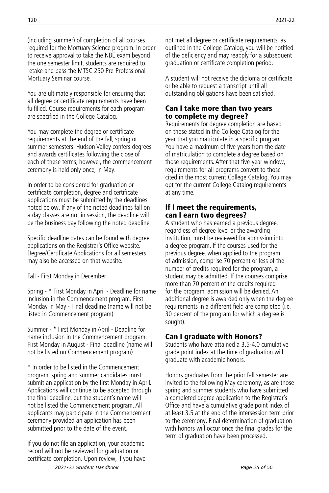(including summer) of completion of all courses required for the Mortuary Science program. In order to receive approval to take the NBE exam beyond the one semester limit, students are required to retake and pass the MTSC 250 Pre-Professional Mortuary Seminar course.

You are ultimately responsible for ensuring that all degree or certificate requirements have been fulfilled. Course requirements for each program are specified in the College Catalog.

You may complete the degree or certificate requirements at the end of the fall, spring or summer semesters. Hudson Valley confers degrees and awards certificates following the close of each of these terms; however, the commencement ceremony is held only once, in May.

In order to be considered for graduation or certificate completion, degree and certificate applications must be submitted by the deadlines noted below. If any of the noted deadlines fall on a day classes are not in session, the deadline will be the business day following the noted deadline.

Specific deadline dates can be found with degree applications on the Registrar's Office website. Degree/Certificate Applications for all semesters may also be accessed on that website.

Fall - First Monday in December

Spring - \* First Monday in April - Deadline for name inclusion in the Commencement program. First Monday in May - Final deadline (name will not be listed in Commencement program)

Summer - \* First Monday in April - Deadline for name inclusion in the Commencement program. First Monday in August - Final deadline (name will not be listed on Commencement program)

\* In order to be listed in the Commencement program, spring and summer candidates must submit an application by the first Monday in April. Applications will continue to be accepted through the final deadline, but the student's name will not be listed the Commencement program. All applicants may participate in the Commencement ceremony provided an application has been submitted prior to the date of the event.

If you do not file an application, your academic record will not be reviewed for graduation or certificate completion. Upon review, if you have not met all degree or certificate requirements, as outlined in the College Catalog, you will be notified of the deficiency and may reapply for a subsequent graduation or certificate completion period.

A student will not receive the diploma or certificate or be able to request a transcript until all outstanding obligations have been satisfied.

#### Can I take more than two years to complete my degree?

Requirements for degree completion are based on those stated in the College Catalog for the year that you matriculate in a specific program. You have a maximum of five years from the date of matriculation to complete a degree based on those requirements. After that five-year window, requirements for all programs convert to those cited in the most current College Catalog. You may opt for the current College Catalog requirements at any time.

#### If I meet the requirements, can I earn two degrees?

A student who has earned a previous degree, regardless of degree level or the awarding institution, must be reviewed for admission into a degree program. If the courses used for the previous degree, when applied to the program of admission, comprise 70 percent or less of the number of credits required for the program, a student may be admitted. If the courses comprise more than 70 percent of the credits required for the program, admission will be denied. An additional degree is awarded only when the degree requirements in a different field are completed (i.e. 30 percent of the program for which a degree is sought).

## Can I graduate with Honors?

Students who have attained a 3.5-4.0 cumulative grade point index at the time of graduation will graduate with academic honors.

Honors graduates from the prior fall semester are invited to the following May ceremony, as are those spring and summer students who have submitted a completed degree application to the Registrar's Office and have a cumulative grade point index of at least 3.5 at the end of the intersession term prior to the ceremony. Final determination of graduation with honors will occur once the final grades for the term of graduation have been processed.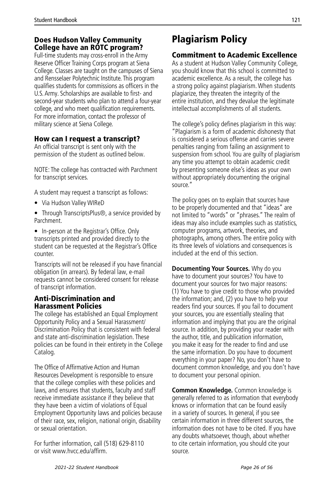## Does Hudson Valley Community College have an ROTC program?

Full-time students may cross-enroll in the Army Reserve Officer Training Corps program at Siena College. Classes are taught on the campuses of Siena and Rensselaer Polytechnic Institute. This program qualifies students for commissions as officers in the U.S. Army. Scholarships are available to first- and second-year students who plan to attend a four-year college, and who meet qualification requirements. For more information, contact the professor of military science at Siena College.

## How can I request a transcript?

An official transcript is sent only with the permission of the student as outlined below.

NOTE: The college has contracted with Parchment for transcript services.

A student may request a transcript as follows:

- Via Hudson Valley WIReD
- Through TranscriptsPlus<sup>®</sup>, a service provided by **Parchment**
- In-person at the Registrar's Office. Only transcripts printed and provided directly to the student can be requested at the Registrar's Office counter.

Transcripts will not be released if you have financial obligation (in arrears). By federal law, e-mail requests cannot be considered consent for release of transcript information.

## Anti-Discrimination and Harassment Policies

The college has established an Equal Employment Opportunity Policy and a Sexual Harassment/ Discrimination Policy that is consistent with federal and state anti-discrimination legislation. These policies can be found in their entirety in the College Catalog.

The Office of Affirmative Action and Human Resources Development is responsible to ensure that the college complies with these policies and laws, and ensures that students, faculty and staff receive immediate assistance if they believe that they have been a victim of violations of Equal Employment Opportunity laws and policies because of their race, sex, religion, national origin, disability or sexual orientation.

For further information, call (518) 629-8110 or visit www.hvcc.edu/affirm.

## Plagiarism Policy

## Commitment to Academic Excellence

As a student at Hudson Valley Community College, you should know that this school is committed to academic excellence. As a result, the college has a strong policy against plagiarism. When students plagiarize, they threaten the integrity of the entire institution, and they devalue the legitimate intellectual accomplishments of all students.

The college's policy defines plagiarism in this way: "Plagiarism is a form of academic dishonesty that is considered a serious offense and carries severe penalties ranging from failing an assignment to suspension from school. You are guilty of plagiarism any time you attempt to obtain academic credit by presenting someone else's ideas as your own without appropriately documenting the original source."

The policy goes on to explain that sources have to be properly documented and that "ideas" are not limited to "words" or "phrases." The realm of ideas may also include examples such as statistics, computer programs, artwork, theories, and photographs, among others. The entire policy with its three levels of violations and consequences is included at the end of this section.

**Documenting Your Sources.** Why do you have to document your sources? You have to document your sources for two major reasons: (1) You have to give credit to those who provided the information; and, (2) you have to help your readers find your sources. If you fail to document your sources, you are essentially stealing that information and implying that you are the original source. In addition, by providing your reader with the author, title, and publication information, you make it easy for the reader to find and use the same information. Do you have to document everything in your paper? No, you don't have to document common knowledge, and you don't have to document your personal opinion.

**Common Knowledge.** Common knowledge is generally referred to as information that everybody knows or information that can be found easily in a variety of sources. In general, if you see certain information in three different sources, the information does not have to be cited. If you have any doubts whatsoever, though, about whether to cite certain information, you should cite your source.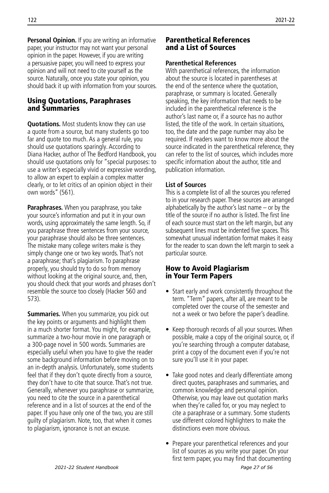**Personal Opinion.** If you are writing an informative paper, your instructor may not want your personal opinion in the paper. However, if you are writing a persuasive paper, you will need to express your opinion and will not need to cite yourself as the source. Naturally, once you state your opinion, you should back it up with information from your sources.

## Using Quotations, Paraphrases and Summaries

**Quotations.** Most students know they can use a quote from a source, but many students go too far and quote too much. As a general rule, you should use quotations sparingly. According to Diana Hacker, author of The Bedford Handbook, you should use quotations only for "special purposes: to use a writer's especially vivid or expressive wording, to allow an expert to explain a complex matter clearly, or to let critics of an opinion object in their own words" (561).

**Paraphrases.** When you paraphrase, you take your source's information and put it in your own words, using approximately the same length. So, if you paraphrase three sentences from your source, your paraphrase should also be three sentences. The mistake many college writers make is they simply change one or two key words. That's not a paraphrase; that's plagiarism. To paraphrase properly, you should try to do so from memory without looking at the original source, and, then, you should check that your words and phrases don't resemble the source too closely (Hacker 560 and 573).

**Summaries.** When you summarize, you pick out the key points or arguments and highlight them in a much shorter format. You might, for example, summarize a two-hour movie in one paragraph or a 300-page novel in 500 words. Summaries are especially useful when you have to give the reader some background information before moving on to an in-depth analysis. Unfortunately, some students feel that if they don't quote directly from a source, they don't have to cite that source. That's not true. Generally, whenever you paraphrase or summarize, you need to cite the source in a parenthetical reference and in a list of sources at the end of the paper. If you have only one of the two, you are still guilty of plagiarism. Note, too, that when it comes to plagiarism, ignorance is not an excuse.

#### Parenthetical References and a List of Sources

#### **Parenthetical References**

With parenthetical references, the information about the source is located in parentheses at the end of the sentence where the quotation, paraphrase, or summary is located. Generally speaking, the key information that needs to be included in the parenthetical reference is the author's last name or, if a source has no author listed, the title of the work. In certain situations, too, the date and the page number may also be required. If readers want to know more about the source indicated in the parenthetical reference, they can refer to the list of sources, which includes more specific information about the author, title and publication information.

#### **List of Sources**

This is a complete list of all the sources you referred to in your research paper. These sources are arranged alphabetically by the author's last name – or by the title of the source if no author is listed. The first line of each source must start on the left margin, but any subsequent lines must be indented five spaces. This somewhat unusual indentation format makes it easy for the reader to scan down the left margin to seek a particular source.

## How to Avoid Plagiarism in Your Term Papers

- Start early and work consistently throughout the term. "Term" papers, after all, are meant to be completed over the course of the semester and not a week or two before the paper's deadline.
- Keep thorough records of all your sources. When possible, make a copy of the original source, or, if you're searching through a computer database, print a copy of the document even if you're not sure you'll use it in your paper.
- Take good notes and clearly differentiate among direct quotes, paraphrases and summaries, and common knowledge and personal opinion. Otherwise, you may leave out quotation marks when they're called for, or you may neglect to cite a paraphrase or a summary. Some students use different colored highlighters to make the distinctions even more obvious.
- Prepare your parenthetical references and your list of sources as you write your paper. On your first term paper, you may find that documenting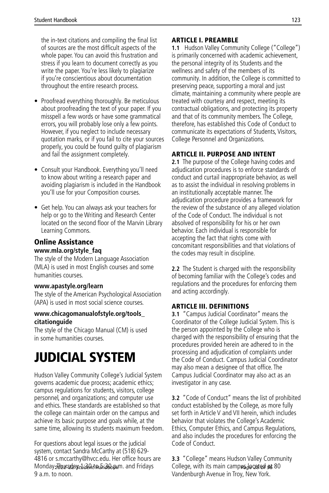<span id="page-28-0"></span>the in-text citations and compiling the final list of sources are the most difficult aspects of the whole paper. You can avoid this frustration and stress if you learn to document correctly as you write the paper. You're less likely to plagiarize if you're conscientious about documentation throughout the entire research process.

- Proofread everything thoroughly. Be meticulous about proofreading the text of your paper. If you misspell a few words or have some grammatical errors, you will probably lose only a few points. However, if you neglect to include necessary quotation marks, or if you fail to cite your sources properly, you could be found guilty of plagiarism and fail the assignment completely.
- Consult your Handbook. Everything you'll need to know about writing a research paper and avoiding plagiarism is included in the Handbook you'll use for your Composition courses.
- Get help. You can always ask your teachers for help or go to the Writing and Research Center located on the second floor of the Marvin Library Learning Commons.

## Online Assistance

#### **www.mla.org/style\_faq**

The style of the Modern Language Association (MLA) is used in most English courses and some humanities courses.

#### **www.apastyle.org/learn**

The style of the American Psychological Association (APA) is used in most social science courses.

#### **www.chicagomanualofstyle.org/tools\_ citationguide**

The style of the Chicago Manual (CM) is used in some humanities courses.

# JUDICIAL SYSTEM

Hudson Valley Community College's Judicial System governs academic due process; academic ethics; campus regulations for students, visitors, college personnel, and organizations; and computer use and ethics. These standards are established so that the college can maintain order on the campus and achieve its basic purpose and goals while, at the same time, allowing its students maximum freedom.

For questions about legal issues or the judicial system, contact Sandra McCarthy at (518) 629- 4816 or s.mccarthy@hvcc.edu. Her office hours are Monday-Joursday the bate 5:30 p.m. and Fridays 9 a.m. to noon.

## ARTICLE I. PREAMBLE

**1.1** Hudson Valley Community College ("College") is primarily concerned with academic achievement, the personal integrity of its Students and the wellness and safety of the members of its community. In addition, the College is committed to preserving peace, supporting a moral and just climate, maintaining a community where people are treated with courtesy and respect, meeting its contractual obligations, and protecting its property and that of its community members. The College, therefore, has established this Code of Conduct to communicate its expectations of Students, Visitors, College Personnel and Organizations.

## ARTICLE II. PURPOSE AND INTENT

**2.1** The purpose of the College having codes and adjudication procedures is to enforce standards of conduct and curtail inappropriate behavior, as well as to assist the individual in resolving problems in an institutionally acceptable manner. The adjudication procedure provides a framework for the review of the substance of any alleged violation of the Code of Conduct. The individual is not absolved of responsibility for his or her own behavior. Each individual is responsible for accepting the fact that rights come with concomitant responsibilities and that violations of the codes may result in discipline.

**2.2** The Student is charged with the responsibility of becoming familiar with the College's codes and regulations and the procedures for enforcing them and acting accordingly.

## ARTICLE III. DEFINITIONS

**3.1** "Campus Judicial Coordinator" means the Coordinator of the College Judicial System. This is the person appointed by the College who is charged with the responsibility of ensuring that the procedures provided herein are adhered to in the processing and adjudication of complaints under the Code of Conduct. Campus Judicial Coordinator may also mean a designee of that office. The Campus Judicial Coordinator may also act as an investigator in any case.

**3.2** "Code of Conduct" means the list of prohibited conduct established by the College, as more fully set forth in Article V and VII herein, which includes behavior that violates the College's Academic Ethics, Computer Ethics, and Campus Regulations, and also includes the procedures for enforcing the Code of Conduct.

**3.3** "College" means Hudson Valley Community 2021 stast ident Handbook and Fridays College, with its main campus jocated at 80 Vandenburgh Avenue in Troy, New York.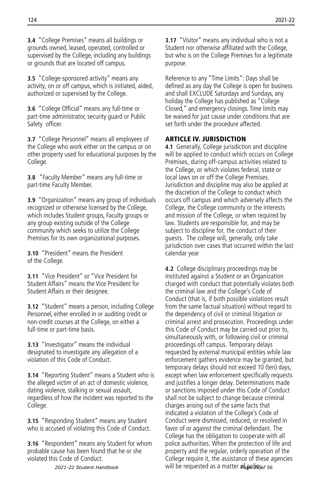**3.4** "College Premises" means all buildings or grounds owned, leased, operated, controlled or supervised by the College, including any buildings or grounds that are located off campus.

**3.5** "College-sponsored activity" means any activity, on or off campus, which is initiated, aided, authorized or supervised by the College.

**3.6** "College Official" means any full-time or part-time administrator, security guard or Public Safety officer.

**3.7** "College Personnel" means all employees of the College who work either on the campus or on other property used for educational purposes by the College.

**3.8** "Faculty Member" means any full-time or part-time Faculty Member.

**3.9** "Organization" means any group of individuals recognized or otherwise licensed by the College, which includes Student groups, Faculty groups or any group existing outside of the College community which seeks to utilize the College Premises for its own organizational purposes.

**3.10** "President" means the President of the College.

**3.11** "Vice President" or "Vice President for Student Affairs" means the Vice President for Student Affairs or their designee.

**3.12** "Student" means a person, including College Personnel, either enrolled in or auditing credit or non-credit courses at the College, on either a full-time or part-time basis.

**3.13** "Investigator" means the individual designated to investigate any allegation of a violation of this Code of Conduct.

**3.14** "Reporting Student" means a Student who is the alleged victim of an act of domestic violence, dating violence, stalking or sexual assault, regardless of how the incident was reported to the College.

**3.15** "Responding Student" means any Student who is accused of violating this Code of Conduct.

**3.16** "Respondent" means any Student for whom probable cause has been found that he or she violated this Code of Conduct.

*2021-22 Student Handbook*

**3.17** "Visitor" means any individual who is not a Student nor otherwise affiliated with the College, but who is on the College Premises for a legitimate purpose.

Reference to any "Time Limits": Days shall be defined as any day the College is open for business and shall EXCLUDE Saturdays and Sundays, any holiday the College has published as "College Closed," and emergency closings. Time limits may be waived for just cause under conditions that are set forth under the procedure affected.

#### **ARTICLE IV. JURISDICTION**

**4.1** Generally, College jurisdiction and discipline will be applied to conduct which occurs on College Premises, during off-campus activities related to the College, or which violates federal, state or local laws on or off the College Premises. Jurisdiction and discipline may also be applied at the discretion of the College to conduct which occurs off campus and which adversely affects the College, the College community or the interests and mission of the College, or when required by law. Students are responsible for, and may be subject to discipline for, the conduct of their guests. The college will, generally, only take jurisdiction over cases that occurred within the last calendar year

**4.2** College disciplinary proceedings may be instituted against a Student or an Organization charged with conduct that potentially violates both the criminal law and the College's Code of Conduct (that is, if both possible violations result from the same factual situation) without regard to the dependency of civil or criminal litigation or criminal arrest and prosecution. Proceedings under this Code of Conduct may be carried out prior to, simultaneously with, or following civil or criminal proceedings off campus. Temporary delays requested by external municipal entities while law enforcement gathers evidence may be granted, but temporary delays should not exceed 10 (ten) days, except when law enforcement specifically requests and justifies a longer delay. Determinations made or sanctions imposed under this Code of Conduct shall not be subject to change because criminal charges arising out of the same facts that indicated a violation of the College's Code of Conduct were dismissed, reduced, or resolved in favor of or against the criminal defendant. The College has the obligation to cooperate with all police authorities. When the protection of life and property and the regular, orderly operation of the College require it, the assistance of these agencies will be requested as a matter **obpolicy** of 56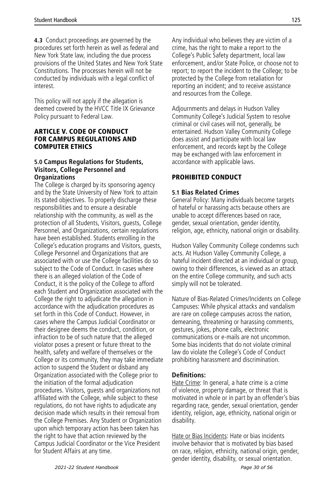**4.3** Conduct proceedings are governed by the procedures set forth herein as well as federal and New York State law, including the due process provisions of the United States and New York State Constitutions. The processes herein will not be conducted by individuals with a legal conflict of interest.

This policy will not apply if the allegation is deemed covered by the HVCC Title IX Grievance Policy pursuant to Federal Law.

#### ARTICLE V. CODE OF CONDUCT FOR CAMPUS REGULATIONS AND COMPUTER ETHICS

#### **5.0 Campus Regulations for Students, Visitors, College Personnel and Organizations**

The College is charged by its sponsoring agency and by the State University of New York to attain its stated objectives. To properly discharge these responsibilities and to ensure a desirable relationship with the community, as well as the protection of all Students, Visitors, guests, College Personnel, and Organizations, certain regulations have been established. Students enrolling in the College's education programs and Visitors, guests, College Personnel and Organizations that are associated with or use the College facilities do so subject to the Code of Conduct. In cases where there is an alleged violation of the Code of Conduct, it is the policy of the College to afford each Student and Organization associated with the College the right to adjudicate the allegation in accordance with the adjudication procedures as set forth in this Code of Conduct. However, in cases where the Campus Judicial Coordinator or their designee deems the conduct, condition, or infraction to be of such nature that the alleged violator poses a present or future threat to the health, safety and welfare of themselves or the College or its community, they may take immediate action to suspend the Student or disband any Organization associated with the College prior to the initiation of the formal adjudication procedures. Visitors, guests and organizations not affiliated with the College, while subject to these regulations, do not have rights to adjudicate any decision made which results in their removal from the College Premises. Any Student or Organization upon which temporary action has been taken has the right to have that action reviewed by the Campus Judicial Coordinator or the Vice President for Student Affairs at any time.

Any individual who believes they are victim of a crime, has the right to make a report to the College's Public Safety department, local law enforcement, and/or State Police, or choose not to report; to report the incident to the College; to be protected by the College from retaliation for reporting an incident; and to receive assistance and resources from the College.

Adjournments and delays in Hudson Valley Community College's Judicial System to resolve criminal or civil cases will not, generally, be entertained. Hudson Valley Community College does assist and participate with local law enforcement, and records kept by the College may be exchanged with law enforcement in accordance with applicable laws.

## PROHIBITED CONDUCT

#### **5.1 Bias Related Crimes**

General Policy: Many individuals become targets of hateful or harassing acts because others are unable to accept differences based on race, gender, sexual orientation, gender identity, religion, age, ethnicity, national origin or disability.

Hudson Valley Community College condemns such acts. At Hudson Valley Community College, a hateful incident directed at an individual or group. owing to their differences, is viewed as an attack on the entire College community, and such acts simply will not be tolerated.

Nature of Bias-Related Crimes/Incidents on College Campuses: While physical attacks and vandalism are rare on college campuses across the nation, demeaning, threatening or harassing comments, gestures, jokes, phone calls, electronic communications or e-mails are not uncommon. Some bias incidents that do not violate criminal law do violate the College's Code of Conduct prohibiting harassment and discrimination.

## **Definitions:**

Hate Crime: In general, a hate crime is a crime of violence, property damage, or threat that is motivated in whole or in part by an offender's bias regarding race, gender, sexual orientation, gender identity, religion, age, ethnicity, national origin or disability.

Hate or Bias Incidents: Hate or bias incidents involve behavior that is motivated by bias based on race, religion, ethnicity, national origin, gender, gender identity, disability, or sexual orientation.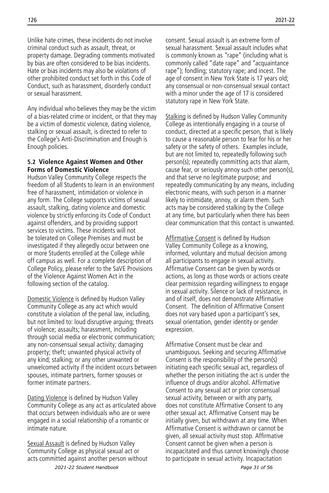Unlike hate crimes, these incidents do not involve criminal conduct such as assault, threat, or property damage. Degrading comments motivated by bias are often considered to be bias incidents. Hate or bias incidents may also be violations of other prohibited conduct set forth in this Code of Conduct, such as harassment, disorderly conduct or sexual harassment.

Any individual who believes they may be the victim of a bias-related crime or incident, or that they may be a victim of domestic violence, dating violence, stalking or sexual assault, is directed to refer to the College's Anti-Discrimination and Enough is Enough policies.

#### **5.2 Violence Against Women and Other Forms of Domestic Violence**

Hudson Valley Community College respects the freedom of all Students to learn in an environment free of harassment, intimidation or violence in any form. The College supports victims of sexual assault, stalking, dating violence and domestic violence by strictly enforcing its Code of Conduct against offenders, and by providing support services to victims. These incidents will not be tolerated on College Premises and must be investigated if they allegedly occur between one or more Students enrolled at the College while off campus as well. For a complete description of College Policy, please refer to the SaVE Provisions of the Violence Against Women Act in the following section of the catalog.

Domestic Violence is defined by Hudson Valley Community College as any act which would constitute a violation of the penal law, including, but not limited to: loud disruptive arguing; threats of violence; assaults; harassment, including through social media or electronic communication; any non-consensual sexual activity; damaging property; theft; unwanted physical activity of any kind; stalking; or any other unwanted or unwelcomed activity if the incident occurs between spouses, intimate partners, former spouses or former intimate partners.

Dating Violence is defined by Hudson Valley Community College as any act as articulated above that occurs between individuals who are or were engaged in a social relationship of a romantic or intimate nature.

Sexual Assault is defined by Hudson Valley Community College as physical sexual act or acts committed against another person without *2021-22 Student Handbook Page 31 of 56*

consent. Sexual assault is an extreme form of sexual harassment. Sexual assault includes what is commonly known as "rape" (including what is commonly called "date rape" and "acquaintance rape"); fondling; statutory rape; and incest. The age of consent in New York State is 17 years old; any consensual or non-consensual sexual contact with a minor under the age of 17 is considered statutory rape in New York State.

Stalking is defined by Hudson Valley Community College as intentionally engaging in a course of conduct, directed at a specific person, that is likely to cause a reasonable person to fear for his or her safety or the safety of others. Examples include, but are not limited to, repeatedly following such person(s); repeatedly committing acts that alarm, cause fear, or seriously annoy such other person(s), and that serve no legitimate purpose; and repeatedly communicating by any means, including electronic means, with such person in a manner likely to intimidate, annoy, or alarm them. Such acts may be considered stalking by the College at any time, but particularly when there has been clear communication that this contact is unwanted.

Affirmative Consent is defined by Hudson Valley Community College as a knowing, informed, voluntary and mutual decision among all participants to engage in sexual activity. Affirmative Consent can be given by words or actions, as long as those words or actions create clear permission regarding willingness to engage in sexual activity. Silence or lack of resistance, in and of itself, does not demonstrate Affirmative Consent. The definition of Affirmative Consent does not vary based upon a participant's sex, sexual orientation, gender identity or gender expression.

Affirmative Consent must be clear and unambiguous. Seeking and securing Affirmative Consent is the responsibility of the person(s) initiating each specific sexual act, regardless of whether the person initiating the act is under the influence of drugs and/or alcohol. Affirmative Consent to any sexual act or prior consensual sexual activity, between or with any party, does not constitute Affirmative Consent to any other sexual act. Affirmative Consent may be initially given, but withdrawn at any time. When Affirmative Consent is withdrawn or cannot be given, all sexual activity must stop. Affirmative Consent cannot be given when a person is incapacitated and thus cannot knowingly choose to participate in sexual activity. Incapacitation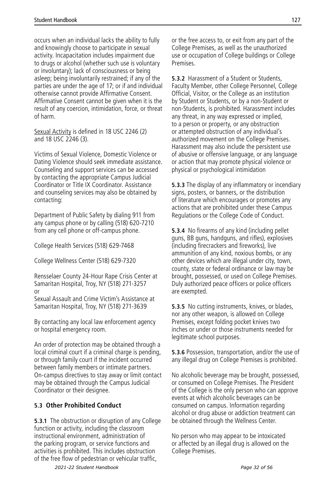occurs when an individual lacks the ability to fully and knowingly choose to participate in sexual activity. Incapacitation includes impairment due to drugs or alcohol (whether such use is voluntary or involuntary); lack of consciousness or being asleep; being involuntarily restrained; if any of the parties are under the age of 17; or if and individual otherwise cannot provide Affirmative Consent. Affirmative Consent cannot be given when it is the result of any coercion, intimidation, force, or threat of harm.

Sexual Activity is defined in 18 USC 2246 (2) and 18 USC 2246 (3).

Victims of Sexual Violence, Domestic Violence or Dating Violence should seek immediate assistance. Counseling and support services can be accessed by contacting the appropriate Campus Judicial Coordinator or Title IX Coordinator. Assistance and counseling services may also be obtained by contacting:

Department of Public Safety by dialing 911 from any campus phone or by calling (518) 620-7210 from any cell phone or off-campus phone.

College Health Services (518) 629-7468

College Wellness Center (518) 629-7320

Rensselaer County 24-Hour Rape Crisis Center at Samaritan Hospital, Troy, NY (518) 271-3257 or Sexual Assault and Crime Victim's Assistance at

Samaritan Hospital, Troy, NY (518) 271-3639

By contacting any local law enforcement agency or hospital emergency room.

An order of protection may be obtained through a local criminal court if a criminal charge is pending, or through family court if the incident occurred between family members or intimate partners. On-campus directives to stay away or limit contact may be obtained through the Campus Judicial Coordinator or their designee.

#### **5.3 Other Prohibited Conduct**

**5.3.1** The obstruction or disruption of any College function or activity, including the classroom instructional environment, administration of the parking program, or service functions and activities is prohibited. This includes obstruction of the free flow of pedestrian or vehicular traffic,

or the free access to, or exit from any part of the College Premises, as well as the unauthorized use or occupation of College buildings or College Premises.

**5.3.2** Harassment of a Student or Students, Faculty Member, other College Personnel, College Official, Visitor, or the College as an institution by Student or Students, or by a non-Student or non-Students, is prohibited. Harassment includes any threat, in any way expressed or implied, to a person or property, or any obstruction or attempted obstruction of any individual's authorized movement on the College Premises. Harassment may also include the persistent use of abusive or offensive language, or any language or action that may promote physical violence or physical or psychological intimidation

**5.3.3** The display of any inflammatory or incendiary signs, posters, or banners, or the distribution of literature which encourages or promotes any actions that are prohibited under these Campus Regulations or the College Code of Conduct.

**5.3.4** No firearms of any kind (including pellet guns, BB guns, handguns, and rifles), explosives (including firecrackers and fireworks), live ammunition of any kind, noxious bombs, or any other devices which are illegal under city, town, county, state or federal ordinance or law may be brought, possessed, or used on College Premises. Duly authorized peace officers or police officers are exempted.

**5.3.5** No cutting instruments, knives, or blades, nor any other weapon, is allowed on College Premises, except folding pocket knives two inches or under or those instruments needed for legitimate school purposes.

**5.3.6** Possession, transportation, and/or the use of any illegal drug on College Premises is prohibited.

No alcoholic beverage may be brought, possessed, or consumed on College Premises. The President of the College is the only person who can approve events at which alcoholic beverages can be consumed on campus. Information regarding alcohol or drug abuse or addiction treatment can be obtained through the Wellness Center.

No person who may appear to be intoxicated or affected by an illegal drug is allowed on the College Premises.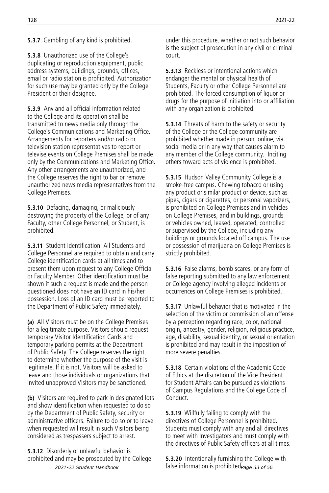#### **5.3.7** Gambling of any kind is prohibited.

**5.3.8** Unauthorized use of the College's duplicating or reproduction equipment, public address systems, buildings, grounds, offices, email or radio station is prohibited. Authorization for such use may be granted only by the College President or their designee.

**5.3.9** Any and all official information related to the College and its operation shall be transmitted to news media only through the College's Communications and Marketing Office. Arrangements for reporters and/or radio or television station representatives to report or televise events on College Premises shall be made only by the Communications and Marketing Office. Any other arrangements are unauthorized, and the College reserves the right to bar or remove unauthorized news media representatives from the College Premises.

**5.3.10** Defacing, damaging, or maliciously destroying the property of the College, or of any Faculty, other College Personnel, or Student, is prohibited.

**5.3.11** Student Identification: All Students and College Personnel are required to obtain and carry College identification cards at all times and to present them upon request to any College Official or Faculty Member. Other identification must be shown if such a request is made and the person questioned does not have an ID card in his/her possession. Loss of an ID card must be reported to the Department of Public Safety immediately.

**(a)** All Visitors must be on the College Premises for a legitimate purpose. Visitors should request temporary Visitor Identification Cards and temporary parking permits at the Department of Public Safety. The College reserves the right to determine whether the purpose of the visit is legitimate. If it is not, Visitors will be asked to leave and those individuals or organizations that invited unapproved Visitors may be sanctioned.

**(b)** Visitors are required to park in designated lots and show identification when requested to do so by the Department of Public Safety, security or administrative officers. Failure to do so or to leave when requested will result in such Visitors being considered as trespassers subject to arrest.

**5.3.12** Disorderly or unlawful behavior is prohibited and may be prosecuted by the College *2021-22 Student Handbook*

under this procedure, whether or not such behavior is the subject of prosecution in any civil or criminal court.

**5.3.13** Reckless or intentional actions which endanger the mental or physical health of Students, Faculty or other College Personnel are prohibited. The forced consumption of liquor or drugs for the purpose of initiation into or affiliation with any organization is prohibited.

**5.3.14** Threats of harm to the safety or security of the College or the College community are prohibited whether made in person, online, via social media or in any way that causes alarm to any member of the College community. Inciting others toward acts of violence is prohibited.

**5.3.15** Hudson Valley Community College is a smoke-free campus. Chewing tobacco or using any product or similar product or device, such as pipes, cigars or cigarettes, or personal vaporizers, is prohibited on College Premises and in vehicles on College Premises, and in buildings, grounds or vehicles owned, leased, operated, controlled or supervised by the College, including any buildings or grounds located off campus. The use or possession of marijuana on College Premises is strictly prohibited.

**5.3.16** False alarms, bomb scares, or any form of false reporting submitted to any law enforcement or College agency involving alleged incidents or occurrences on College Premises is prohibited.

**5.3.17** Unlawful behavior that is motivated in the selection of the victim or commission of an offense by a perception regarding race, color, national origin, ancestry, gender, religion, religious practice, age, disability, sexual identity, or sexual orientation is prohibited and may result in the imposition of more severe penalties.

**5.3.18** Certain violations of the Academic Code of Ethics at the discretion of the Vice President for Student Affairs can be pursued as violations of Campus Regulations and the College Code of Conduct.

**5.3.19** Willfully failing to comply with the directives of College Personnel is prohibited. Students must comply with any and all directives to meet with Investigators and must comply with the directives of Public Safety officers at all times.

**5.3.20** Intentionally furnishing the College with false information is prohibited<sub>Page</sub> 33 of 56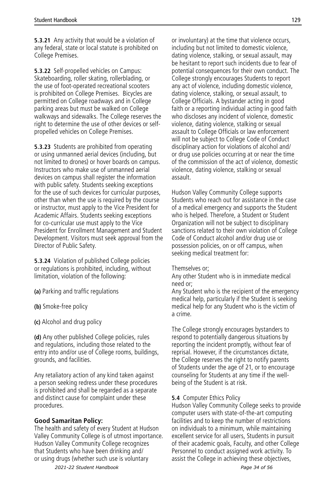**5.3.21** Any activity that would be a violation of any federal, state or local statute is prohibited on College Premises.

**5.3.22** Self-propelled vehicles on Campus: Skateboarding, roller skating, rollerblading, or the use of foot-operated recreational scooters is prohibited on College Premises. Bicycles are permitted on College roadways and in College parking areas but must be walked on College walkways and sidewalks. The College reserves the right to determine the use of other devices or selfpropelled vehicles on College Premises.

**5.3.23** Students are prohibited from operating or using unmanned aerial devices (including, but not limited to drones) or hover boards on campus. Instructors who make use of unmanned aerial devices on campus shall register the information with public safety. Students seeking exceptions for the use of such devices for curricular purposes, other than when the use is required by the course or instructor, must apply to the Vice President for Academic Affairs. Students seeking exceptions for co-curricular use must apply to the Vice President for Enrollment Management and Student Development. Visitors must seek approval from the Director of Public Safety.

**5.3.24** Violation of published College policies or regulations is prohibited, including, without limitation, violation of the following:

- **(a)** Parking and traffic regulations
- **(b)** Smoke-free policy
- **(c)** Alcohol and drug policy

**(d)** Any other published College policies, rules and regulations, including those related to the entry into and/or use of College rooms, buildings, grounds, and facilities.

Any retaliatory action of any kind taken against a person seeking redress under these procedures is prohibited and shall be regarded as a separate and distinct cause for complaint under these procedures.

#### **Good Samaritan Policy:**

The health and safety of every Student at Hudson Valley Community College is of utmost importance. Hudson Valley Community College recognizes that Students who have been drinking and/ or using drugs (whether such use is voluntary

or involuntary) at the time that violence occurs, including but not limited to domestic violence, dating violence, stalking, or sexual assault, may be hesitant to report such incidents due to fear of potential consequences for their own conduct. The College strongly encourages Students to report any act of violence, including domestic violence, dating violence, stalking, or sexual assault, to College Officials. A bystander acting in good faith or a reporting individual acting in good faith who discloses any incident of violence, domestic violence, dating violence, stalking or sexual assault to College Officials or law enforcement will not be subject to College Code of Conduct disciplinary action for violations of alcohol and/ or drug use policies occurring at or near the time of the commission of the act of violence, domestic violence, dating violence, stalking or sexual assault.

Hudson Valley Community College supports Students who reach out for assistance in the case of a medical emergency and supports the Student who is helped. Therefore, a Student or Student Organization will not be subject to disciplinary sanctions related to their own violation of College Code of Conduct alcohol and/or drug use or possession policies, on or off campus, when seeking medical treatment for:

#### Themselves or;

Any other Student who is in immediate medical need or;

Any Student who is the recipient of the emergency medical help, particularly if the Student is seeking medical help for any Student who is the victim of a crime.

The College strongly encourages bystanders to respond to potentially dangerous situations by reporting the incident promptly, without fear of reprisal. However, if the circumstances dictate, the College reserves the right to notify parents of Students under the age of 21, or to encourage counseling for Students at any time if the wellbeing of the Student is at risk.

#### **5.4** Computer Ethics Policy

Hudson Valley Community College seeks to provide computer users with state-of-the-art computing facilities and to keep the number of restrictions on individuals to a minimum, while maintaining excellent service for all users, Students in pursuit of their academic goals, Faculty, and other College Personnel to conduct assigned work activity. To assist the College in achieving these objectives,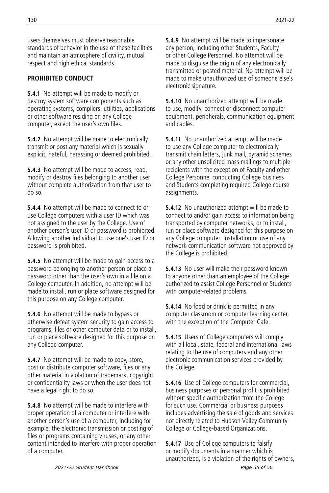users themselves must observe reasonable standards of behavior in the use of these facilities and maintain an atmosphere of civility, mutual respect and high ethical standards.

## **PROHIBITED CONDUCT**

**5.4.1** No attempt will be made to modify or destroy system software components such as operating systems, compilers, utilities, applications or other software residing on any College computer, except the user's own files.

**5.4.2** No attempt will be made to electronically transmit or post any material which is sexually explicit, hateful, harassing or deemed prohibited.

**5.4.3** No attempt will be made to access, read, modify or destroy files belonging to another user without complete authorization from that user to do so.

**5.4.4** No attempt will be made to connect to or use College computers with a user ID which was not assigned to the user by the College. Use of another person's user ID or password is prohibited. Allowing another individual to use one's user ID or password is prohibited.

**5.4.5** No attempt will be made to gain access to a password belonging to another person or place a password other than the user's own in a file on a College computer. In addition, no attempt will be made to install, run or place software designed for this purpose on any College computer.

**5.4.6** No attempt will be made to bypass or otherwise defeat system security to gain access to programs, files or other computer data or to install, run or place software designed for this purpose on any College computer.

**5.4.7** No attempt will be made to copy, store, post or distribute computer software, files or any other material in violation of trademark, copyright or confidentiality laws or when the user does not have a legal right to do so.

**5.4.8** No attempt will be made to interfere with proper operation of a computer or interfere with another person's use of a computer, including for example, the electronic transmission or posting of files or programs containing viruses, or any other content intended to interfere with proper operation of a computer.

**5.4.9** No attempt will be made to impersonate any person, including other Students, Faculty or other College Personnel. No attempt will be made to disguise the origin of any electronically transmitted or posted material. No attempt will be made to make unauthorized use of someone else's electronic signature.

**5.4.10** No unauthorized attempt will be made to use, modify, connect or disconnect computer equipment, peripherals, communication equipment and cables.

**5.4.11** No unauthorized attempt will be made to use any College computer to electronically transmit chain letters, junk mail, pyramid schemes or any other unsolicited mass mailings to multiple recipients with the exception of Faculty and other College Personnel conducting College business and Students completing required College course assignments.

**5.4.12** No unauthorized attempt will be made to connect to and/or gain access to information being transported by computer networks, or to install, run or place software designed for this purpose on any College computer. Installation or use of any network communication software not approved by the College is prohibited.

**5.4.13** No user will make their password known to anyone other than an employee of the College authorized to assist College Personnel or Students with computer-related problems.

**5.4.14** No food or drink is permitted in any computer classroom or computer learning center, with the exception of the Computer Cafe.

**5.4.15** Users of College computers will comply with all local, state, federal and international laws relating to the use of computers and any other electronic communication services provided by the College.

**5.4.16** Use of College computers for commercial, business purposes or personal profit is prohibited without specific authorization from the College for such use. Commercial or business purposes includes advertising the sale of goods and services not directly related to Hudson Valley Community College or College-based Organizations.

**5.4.17** Use of College computers to falsify or modify documents in a manner which is unauthorized, is a violation of the rights of owners,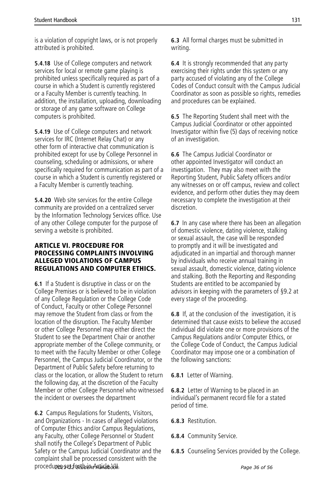is a violation of copyright laws, or is not properly attributed is prohibited.

**5.4.18** Use of College computers and network services for local or remote game playing is prohibited unless specifically required as part of a course in which a Student is currently registered or a Faculty Member is currently teaching. In addition, the installation, uploading, downloading or storage of any game software on College computers is prohibited.

**5.4.19** Use of College computers and network services for IRC (Internet Relay Chat) or any other form of interactive chat communication is prohibited except for use by College Personnel in counseling, scheduling or admissions, or where specifically required for communication as part of a course in which a Student is currently registered or a Faculty Member is currently teaching.

**5.4.20** Web site services for the entire College community are provided on a centralized server by the Information Technology Services office. Use of any other College computer for the purpose of serving a website is prohibited.

#### ARTICLE VI. PROCEDURE FOR PROCESSING COMPLAINTS INVOLVING ALLEGED VIOLATIONS OF CAMPUS REGULATIONS AND COMPUTER ETHICS.

**6.1** If a Student is disruptive in class or on the College Premises or is believed to be in violation of any College Regulation or the College Code of Conduct, Faculty or other College Personnel may remove the Student from class or from the location of the disruption. The Faculty Member or other College Personnel may either direct the Student to see the Department Chair or another appropriate member of the College community, or to meet with the Faculty Member or other College Personnel, the Campus Judicial Coordinator, or the Department of Public Safety before returning to class or the location, or allow the Student to return the following day, at the discretion of the Faculty Member or other College Personnel who witnessed the incident or oversees the department

**6.2** Campus Regulations for Students, Visitors, and Organizations - In cases of alleged violations of Computer Ethics and/or Campus Regulations, any Faculty, other College Personnel or Student shall notify the College's Department of Public Safety or the Campus Judicial Coordinator and the complaint shall be processed consistent with the procedu**res set forth in Article** S6U. The contract of the page 36 of 56

**6.3** All formal charges must be submitted in writing.

**6.4** It is strongly recommended that any party exercising their rights under this system or any party accused of violating any of the College Codes of Conduct consult with the Campus Judicial Coordinator as soon as possible so rights, remedies and procedures can be explained.

**6.5** The Reporting Student shall meet with the Campus Judicial Coordinator or other appointed Investigator within five (5) days of receiving notice of an investigation.

**6.6** The Campus Judicial Coordinator or other appointed Investigator will conduct an investigation. They may also meet with the Reporting Student, Public Safety officers and/or any witnesses on or off campus, review and collect evidence, and perform other duties they may deem necessary to complete the investigation at their discretion.

**6.7** In any case where there has been an allegation of domestic violence, dating violence, stalking or sexual assault, the case will be responded to promptly and it will be investigated and adjudicated in an impartial and thorough manner by individuals who receive annual training in sexual assault, domestic violence, dating violence and stalking. Both the Reporting and Responding Students are entitled to be accompanied by advisors in keeping with the parameters of §9.2 at every stage of the proceeding.

**6.8** If, at the conclusion of the investigation, it is determined that cause exists to believe the accused individual did violate one or more provisions of the Campus Regulations and/or Computer Ethics, or the College Code of Conduct, the Campus Judicial Coordinator may impose one or a combination of the following sanctions:

**6.8.1** Letter of Warning.

**6.8.2** Letter of Warning to be placed in an individual's permanent record file for a stated period of time.

- **6.8.3** Restitution.
- **6.8.4** Community Service.
- **6.8.5** Counseling Services provided by the College.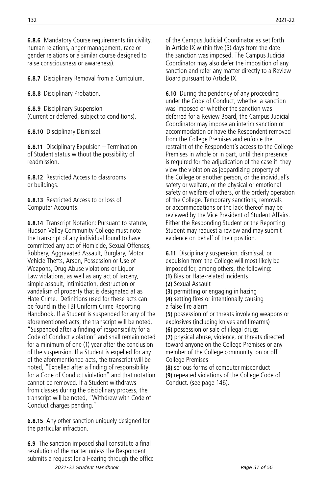**6.8.6** Mandatory Course requirements (in civility, human relations, anger management, race or gender relations or a similar course designed to raise consciousness or awareness).

**6.8.7** Disciplinary Removal from a Curriculum.

**6.8.8** Disciplinary Probation.

**6.8.9** Disciplinary Suspension (Current or deferred, subject to conditions).

**6.8.10** Disciplinary Dismissal.

**6.8.11** Disciplinary Expulsion – Termination of Student status without the possibility of readmission.

**6.8.12** Restricted Access to classrooms or buildings.

**6.8.13** Restricted Access to or loss of Computer Accounts.

**6.8.14** Transcript Notation: Pursuant to statute, Hudson Valley Community College must note the transcript of any individual found to have committed any act of Homicide, Sexual Offenses, Robbery, Aggravated Assault, Burglary, Motor Vehicle Thefts, Arson, Possession or Use of Weapons, Drug Abuse violations or Liquor Law violations, as well as any act of larceny, simple assault, intimidation, destruction or vandalism of property that is designated at as Hate Crime. Definitions used for these acts can be found in the FBI Uniform Crime Reporting Handbook. If a Student is suspended for any of the aforementioned acts, the transcript will be noted, "Suspended after a finding of responsibility for a Code of Conduct violation" and shall remain noted for a minimum of one (1) year after the conclusion of the suspension. If a Student is expelled for any of the aforementioned acts, the transcript will be noted, "Expelled after a finding of responsibility for a Code of Conduct violation" and that notation cannot be removed. If a Student withdraws from classes during the disciplinary process, the transcript will be noted, "Withdrew with Code of Conduct charges pending."

**6.8.15** Any other sanction uniquely designed for the particular infraction.

**6.9** The sanction imposed shall constitute a final resolution of the matter unless the Respondent submits a request for a Hearing through the office *2021-22 Student Handbook Page 37 of 56*

of the Campus Judicial Coordinator as set forth in Article IX within five  $(5)$  days from the date the sanction was imposed. The Campus Judicial Coordinator may also defer the imposition of any sanction and refer any matter directly to a Review Board pursuant to Article IX.

**6.10** During the pendency of any proceeding under the Code of Conduct, whether a sanction was imposed or whether the sanction was deferred for a Review Board, the Campus Judicial Coordinator may impose an interim sanction or accommodation or have the Respondent removed from the College Premises and enforce the restraint of the Respondent's access to the College Premises in whole or in part, until their presence is required for the adjudication of the case if they view the violation as jeopardizing property of the College or another person, or the individual's safety or welfare, or the physical or emotional safety or welfare of others, or the orderly operation of the College. Temporary sanctions, removals or accommodations or the lack thereof may be reviewed by the Vice President of Student Affairs. Either the Responding Student or the Reporting Student may request a review and may submit evidence on behalf of their position.

**6.11** Disciplinary suspension, dismissal, or expulsion from the College will most likely be imposed for, among others, the following:

**(1)** Bias or Hate-related incidents

- **(2)** Sexual Assault
- **(3)** permitting or engaging in hazing

**(4)** setting fires or intentionally causing

a false fire alarm **(5)** possession of or threats involving weapons or explosives (including knives and firearms)

**(6)** possession or sale of illegal drugs **(7)** physical abuse, violence, or threats directed toward anyone on the College Premises or any member of the College community, on or off College Premises

**(8)** serious forms of computer misconduct **(9)** repeated violations of the College Code of Conduct. (see page 146).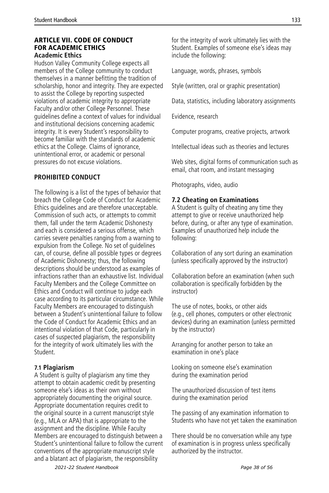#### ARTICLE VII. CODE OF CONDUCT FOR ACADEMIC ETHICS **Academic Ethics**

Hudson Valley Community College expects all members of the College community to conduct themselves in a manner befitting the tradition of scholarship, honor and integrity. They are expected to assist the College by reporting suspected violations of academic integrity to appropriate Faculty and/or other College Personnel. These guidelines define a context of values for individual and institutional decisions concerning academic integrity. It is every Student's responsibility to become familiar with the standards of academic ethics at the College. Claims of ignorance, unintentional error, or academic or personal pressures do not excuse violations.

#### **PROHIBITED CONDUCT**

The following is a list of the types of behavior that breach the College Code of Conduct for Academic Ethics quidelines and are therefore unacceptable. Commission of such acts, or attempts to commit them, fall under the term Academic Dishonesty and each is considered a serious offense, which carries severe penalties ranging from a warning to expulsion from the College. No set of guidelines can, of course, define all possible types or degrees of Academic Dishonesty; thus, the following descriptions should be understood as examples of infractions rather than an exhaustive list. Individual Faculty Members and the College Committee on Ethics and Conduct will continue to judge each case according to its particular circumstance. While Faculty Members are encouraged to distinguish between a Student's unintentional failure to follow the Code of Conduct for Academic Ethics and an intentional violation of that Code, particularly in cases of suspected plagiarism, the responsibility for the integrity of work ultimately lies with the Student.

#### **7.1 Plagiarism**

A Student is guilty of plagiarism any time they attempt to obtain academic credit by presenting someone else's ideas as their own without appropriately documenting the original source. Appropriate documentation requires credit to the original source in a current manuscript style (e.g., MLA or APA) that is appropriate to the assignment and the discipline. While Faculty Members are encouraged to distinguish between a Student's unintentional failure to follow the current conventions of the appropriate manuscript style and a blatant act of plagiarism, the responsibility

for the integrity of work ultimately lies with the Student. Examples of someone else's ideas may include the following:

Language, words, phrases, symbols

Style (written, oral or graphic presentation)

Data, statistics, including laboratory assignments

Evidence, research

Computer programs, creative projects, artwork

Intellectual ideas such as theories and lectures

Web sites, digital forms of communication such as email, chat room, and instant messaging

Photographs, video, audio

#### **7.2 Cheating on Examinations**

A Student is guilty of cheating any time they attempt to give or receive unauthorized help before, during, or after any type of examination. Examples of unauthorized help include the following:

Collaboration of any sort during an examination (unless specifically approved by the instructor)

Collaboration before an examination (when such collaboration is specifically forbidden by the instructor)

The use of notes, books, or other aids (e.g., cell phones, computers or other electronic devices) during an examination (unless permitted by the instructor)

Arranging for another person to take an examination in one's place

Looking on someone else's examination during the examination period

The unauthorized discussion of test items during the examination period

The passing of any examination information to Students who have not yet taken the examination

There should be no conversation while any type of examination is in progress unless specifically authorized by the instructor.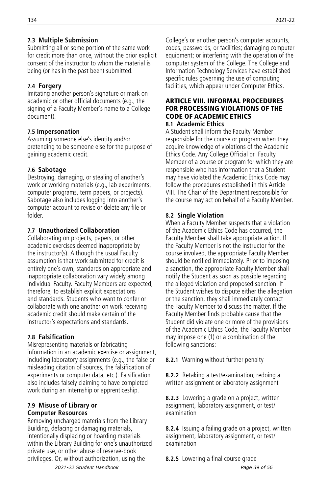#### **7.3 Multiple Submission**

Submitting all or some portion of the same work for credit more than once, without the prior explicit consent of the instructor to whom the material is being (or has in the past been) submitted.

#### **7.4 Forgery**

Imitating another person's signature or mark on academic or other official documents (e.g., the signing of a Faculty Member's name to a College document).

#### **7.5 Impersonation**

Assuming someone else's identity and/or pretending to be someone else for the purpose of gaining academic credit.

## **7.6 Sabotage**

Destroying, damaging, or stealing of another's work or working materials (e.g., lab experiments, computer programs, term papers, or projects). Sabotage also includes logging into another's computer account to revise or delete any file or folder.

## **7.7 Unauthorized Collaboration**

Collaborating on projects, papers, or other academic exercises deemed inappropriate by the instructor(s). Although the usual Faculty assumption is that work submitted for credit is entirely one's own, standards on appropriate and inappropriate collaboration vary widely among individual Faculty. Faculty Members are expected, therefore, to establish explicit expectations and standards. Students who want to confer or collaborate with one another on work receiving academic credit should make certain of the instructor's expectations and standards.

## **7.8 Falsification**

Misrepresenting materials or fabricating information in an academic exercise or assignment, including laboratory assignments (e.g., the false or misleading citation of sources, the falsification of experiments or computer data, etc.). Falsification also includes falsely claiming to have completed work during an internship or apprenticeship.

#### **7.9 Misuse of Library or Computer Resources**

Removing uncharged materials from the Library Building, defacing or damaging materials, intentionally displacing or hoarding materials within the Library Building for one's unauthorized private use, or other abuse of reserve-book privileges. Or, without authorization, using the

College's or another person's computer accounts, codes, passwords, or facilities; damaging computer equipment; or interfering with the operation of the computer system of the College. The College and Information Technology Services have established specific rules governing the use of computing facilities, which appear under Computer Ethics.

#### ARTICLE VIII. INFORMAL PROCEDURES FOR PROCESSING VIOLATIONS OF THE CODE OF ACADEMIC ETHICS **8.1 Academic Ethics**

A Student shall inform the Faculty Member responsible for the course or program when they acquire knowledge of violations of the Academic Ethics Code. Any College Official or Faculty Member of a course or program for which they are responsible who has information that a Student may have violated the Academic Ethics Code may follow the procedures established in this Article VIII. The Chair of the Department responsible for the course may act on behalf of a Faculty Member.

## **8.2 Single Violation**

When a Faculty Member suspects that a violation of the Academic Ethics Code has occurred, the Faculty Member shall take appropriate action. If the Faculty Member is not the instructor for the course involved, the appropriate Faculty Member should be notified immediately. Prior to imposing a sanction, the appropriate Faculty Member shall notify the Student as soon as possible regarding the alleged violation and proposed sanction. If the Student wishes to dispute either the allegation or the sanction, they shall immediately contact the Faculty Member to discuss the matter. If the Faculty Member finds probable cause that the Student did violate one or more of the provisions of the Academic Ethics Code, the Faculty Member may impose one (1) or a combination of the following sanctions:

**8.2.1** Warning without further penalty

**8.2.2** Retaking a test/examination; redoing a written assignment or laboratory assignment

**8.2.3** Lowering a grade on a project, written assignment, laboratory assignment, or test/ examination

**8.2.4** Issuing a failing grade on a project, written assignment, laboratory assignment, or test/ examination

**8.2.5** Lowering a final course grade *2021-22 Student Handbook Page 39 of 56*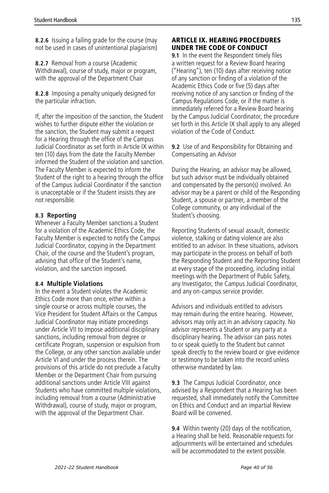**8.2.6** Issuing a failing grade for the course (may not be used in cases of unintentional plagiarism)

**8.2.7** Removal from a course (Academic Withdrawal), course of study, major or program, with the approval of the Department Chair

**8.2.8** Imposing a penalty uniquely designed for the particular infraction.

If, after the imposition of the sanction, the Student wishes to further dispute either the violation or the sanction, the Student may submit a request for a Hearing through the office of the Campus Judicial Coordinator as set forth in Article IX within ten (10) days from the date the Faculty Member informed the Student of the violation and sanction. The Faculty Member is expected to inform the Student of the right to a hearing through the office of the Campus Judicial Coordinator if the sanction is unacceptable or if the Student insists they are not responsible.

#### **8.3 Reporting**

Whenever a Faculty Member sanctions a Student for a violation of the Academic Ethics Code, the Faculty Member is expected to notify the Campus Judicial Coordinator, copying in the Department Chair, of the course and the Student's program, advising that office of the Student's name, violation, and the sanction imposed.

#### **8.4 Multiple Violations**

In the event a Student violates the Academic Ethics Code more than once, either within a single course or across multiple courses, the Vice President for Student Affairs or the Campus Judicial Coordinator may initiate proceedings under Article VII to impose additional disciplinary sanctions, including removal from degree or certificate Program, suspension or expulsion from the College, or any other sanction available under Article VI and under the process therein. The provisions of this article do not preclude a Faculty Member or the Department Chair from pursuing additional sanctions under Article VIII against Students who have committed multiple violations, including removal from a course (Administrative Withdrawal), course of study, major or program, with the approval of the Department Chair.

#### ARTICLE IX. HEARING PROCEDURES UNDER THE CODE OF CONDUCT

**9.1** In the event the Respondent timely files a written request for a Review Board hearing ("Hearing"), ten (10) days after receiving notice of any sanction or finding of a violation of the Academic Ethics Code or five (5) days after receiving notice of any sanction or finding of the Campus Regulations Code, or if the matter is immediately referred for a Review Board hearing by the Campus Judicial Coordinator, the procedure set forth in this Article IX shall apply to any alleged violation of the Code of Conduct.

**9.2** Use of and Responsibility for Obtaining and Compensating an Advisor

During the Hearing, an advisor may be allowed, but such advisor must be individually obtained and compensated by the person(s) involved. An advisor may be a parent or child of the Responding Student, a spouse or partner, a member of the College community, or any individual of the Student's choosing.

Reporting Students of sexual assault, domestic violence, stalking or dating violence are also entitled to an advisor. In these situations, advisors may participate in the process on behalf of both the Responding Student and the Reporting Student at every stage of the proceeding, including initial meetings with the Department of Public Safety, any Investigator, the Campus Judicial Coordinator, and any on-campus service provider.

Advisors and individuals entitled to advisors may remain during the entire hearing. However, advisors may only act in an advisory capacity. No advisor represents a Student or any party at a disciplinary hearing. The advisor can pass notes to or speak quietly to the Student but cannot speak directly to the review board or give evidence or testimony to be taken into the record unless otherwise mandated by law.

**9.3** The Campus Judicial Coordinator, once advised by a Respondent that a Hearing has been requested, shall immediately notify the Committee on Ethics and Conduct and an impartial Review Board will be convened.

**9.4** Within twenty (20) days of the notification, a Hearing shall be held. Reasonable requests for adjournments will be entertained and schedules will be accommodated to the extent possible.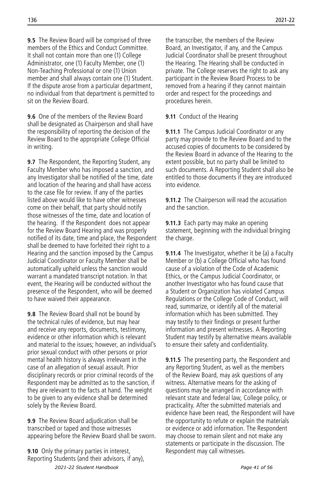**9.5** The Review Board will be comprised of three members of the Ethics and Conduct Committee. It shall not contain more than one (1) College Administrator, one (1) Faculty Member, one (1) Non-Teaching Professional or one (1) Union member and shall always contain one (1) Student. If the dispute arose from a particular department, no individual from that department is permitted to sit on the Review Board.

**9.6** One of the members of the Review Board shall be designated as Chairperson and shall have the responsibility of reporting the decision of the Review Board to the appropriate College Official in writing.

**9.7** The Respondent, the Reporting Student, any Faculty Member who has imposed a sanction, and any Investigator shall be notified of the time, date and location of the hearing and shall have access to the case file for review. If any of the parties listed above would like to have other witnesses come on their behalf, that party should notify those witnesses of the time, date and location of the hearing. If the Respondent does not appear for the Review Board Hearing and was properly notified of its date, time and place, the Respondent shall be deemed to have forfeited their right to a Hearing and the sanction imposed by the Campus Judicial Coordinator or Faculty Member shall be automatically upheld unless the sanction would warrant a mandated transcript notation. In that event, the Hearing will be conducted without the presence of the Respondent, who will be deemed to have waived their appearance.

**9.8** The Review Board shall not be bound by the technical rules of evidence, but may hear and receive any reports, documents, testimony, evidence or other information which is relevant and material to the issues; however, an individual's prior sexual conduct with other persons or prior mental health history is always irrelevant in the case of an allegation of sexual assault. Prior disciplinary records or prior criminal records of the Respondent may be admitted as to the sanction, if they are relevant to the facts at hand. The weight to be given to any evidence shall be determined solely by the Review Board.

**9.9** The Review Board adjudication shall be transcribed or taped and those witnesses appearing before the Review Board shall be sworn.

**9.10** Only the primary parties in interest, Reporting Students (and their advisors, if any), *2021-22 Student Handbook Page 41 of 56*

the transcriber, the members of the Review Board, an Investigator, if any, and the Campus Judicial Coordinator shall be present throughout the Hearing. The Hearing shall be conducted in private. The College reserves the right to ask any participant in the Review Board Process to be removed from a hearing if they cannot maintain order and respect for the proceedings and procedures herein.

**9.11** Conduct of the Hearing

**9.11.1** The Campus Judicial Coordinator or any party may provide to the Review Board and to the accused copies of documents to be considered by the Review Board in advance of the Hearing to the extent possible, but no party shall be limited to such documents. A Reporting Student shall also be entitled to those documents if they are introduced into evidence.

**9.11.2** The Chairperson will read the accusation and the sanction.

**9.11.3** Each party may make an opening statement, beginning with the individual bringing the charge.

**9.11.4** The Investigator, whether it be (a) a Faculty Member or (b) a College Official who has found cause of a violation of the Code of Academic Ethics, or the Campus Judicial Coordinator, or another Investigator who has found cause that a Student or Organization has violated Campus Regulations or the College Code of Conduct, will read, summarize, or identify all of the material information which has been submitted. They may testify to their findings or present further information and present witnesses. A Reporting Student may testify by alternative means available to ensure their safety and confidentiality.

**9.11.5** The presenting party, the Respondent and any Reporting Student, as well as the members of the Review Board, may ask questions of any witness. Alternative means for the asking of questions may be arranged in accordance with relevant state and federal law, College policy, or practicality. After the submitted materials and evidence have been read, the Respondent will have the opportunity to refute or explain the materials or evidence or add information. The Respondent may choose to remain silent and not make any statements or participate in the discussion. The Respondent may call witnesses.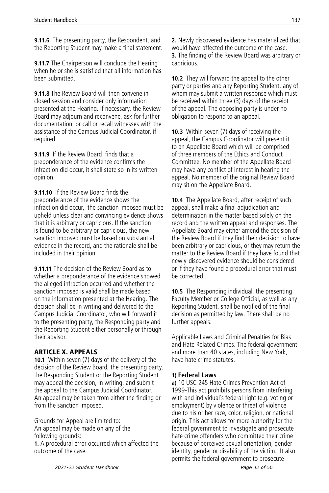**9.11.6** The presenting party, the Respondent, and the Reporting Student may make a final statement.

**9.11.7** The Chairperson will conclude the Hearing when he or she is satisfied that all information has been submitted.

**9.11.8** The Review Board will then convene in closed session and consider only information presented at the Hearing. If necessary, the Review Board may adjourn and reconvene, ask for further documentation, or call or recall witnesses with the assistance of the Campus Judicial Coordinator, if required.

**9.11.9** If the Review Board finds that a preponderance of the evidence confirms the infraction did occur, it shall state so in its written opinion.

**9.11.10** If the Review Board finds the preponderance of the evidence shows the infraction did occur, the sanction imposed must be upheld unless clear and convincing evidence shows that it is arbitrary or capricious. If the sanction is found to be arbitrary or capricious, the new sanction imposed must be based on substantial evidence in the record, and the rationale shall be included in their opinion.

**9.11.11** The decision of the Review Board as to whether a preponderance of the evidence showed the alleged infraction occurred and whether the sanction imposed is valid shall be made based on the information presented at the Hearing. The decision shall be in writing and delivered to the Campus Judicial Coordinator, who will forward it to the presenting party, the Responding party and the Reporting Student either personally or through their advisor.

#### ARTICLE X. APPEALS

**10.1** Within seven (7) days of the delivery of the decision of the Review Board, the presenting party, the Responding Student or the Reporting Student may appeal the decision, in writing, and submit the appeal to the Campus Judicial Coordinator. An appeal may be taken from either the finding or from the sanction imposed.

Grounds for Appeal are limited to: An appeal may be made on any of the following grounds:

**1.** A procedural error occurred which affected the outcome of the case.

**2.** Newly discovered evidence has materialized that would have affected the outcome of the case. **3.** The finding of the Review Board was arbitrary or capricious.

**10.2** They will forward the appeal to the other party or parties and any Reporting Student, any of whom may submit a written response which must be received within three (3) days of the receipt of the appeal. The opposing party is under no obligation to respond to an appeal.

**10.3** Within seven (7) days of receiving the appeal, the Campus Coordinator will present it to an Appellate Board which will be comprised of three members of the Ethics and Conduct Committee. No member of the Appellate Board may have any conflict of interest in hearing the appeal. No member of the original Review Board may sit on the Appellate Board.

**10.4** The Appellate Board, after receipt of such appeal, shall make a final adjudication and determination in the matter based solely on the record and the written appeal and responses. The Appellate Board may either amend the decision of the Review Board if they find their decision to have been arbitrary or capricious, or they may return the matter to the Review Board if they have found that newly-discovered evidence should be considered or if they have found a procedural error that must be corrected.

**10.5** The Responding individual, the presenting Faculty Member or College Official, as well as any Reporting Student, shall be notified of the final decision as permitted by law. There shall be no further appeals.

Applicable Laws and Criminal Penalties for Bias and Hate Related Crimes. The federal government and more than 40 states, including New York, have hate crime statutes.

#### **1) Federal Laws**

**a)** 10 USC 245 Hate Crimes Prevention Act of 1999-This act prohibits persons from interfering with and individual's federal right (e.g. voting or employment) by violence or threat of violence due to his or her race, color, religion, or national origin. This act allows for more authority for the federal government to investigate and prosecute hate crime offenders who committed their crime because of perceived sexual orientation, gender identity, gender or disability of the victim. It also permits the federal government to prosecute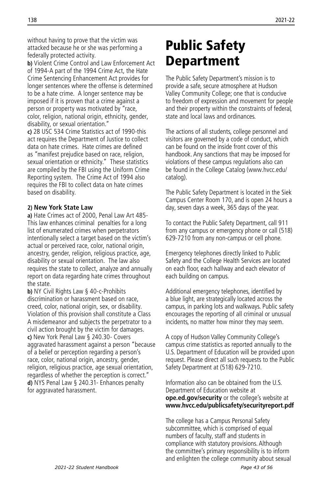<span id="page-43-0"></span>without having to prove that the victim was attacked because he or she was performing a federally protected activity.

**b)** Violent Crime Control and Law Enforcement Act of 1994-A part of the 1994 Crime Act, the Hate Crime Sentencing Enhancement Act provides for longer sentences where the offense is determined to be a hate crime. A longer sentence may be imposed if it is proven that a crime against a person or property was motivated by "race, color, religion, national origin, ethnicity, gender, disability, or sexual orientation."

**c)** 28 USC 534 Crime Statistics act of 1990-this act requires the Department of Justice to collect data on hate crimes. Hate crimes are defined as "manifest prejudice based on race, religion, sexual orientation or ethnicity." These statistics are compiled by the FBI using the Uniform Crime Reporting system. The Crime Act of 1994 also requires the FBI to collect data on hate crimes based on disability.

#### **2) New York State Law**

**a)** Hate Crimes act of 2000, Penal Law Art 485- This law enhances criminal penalties for a long list of enumerated crimes when perpetrators intentionally select a target based on the victim's actual or perceived race, color, national origin, ancestry, gender, religion, religious practice, age, disability or sexual orientation. The law also requires the state to collect, analyze and annually report on data regarding hate crimes throughout the state.

**b)** NY Civil Rights Law § 40-c-Prohibits discrimination or harassment based on race, creed, color, national origin, sex, or disability. Violation of this provision shall constitute a Class A misdemeanor and subjects the perpetrator to a civil action brought by the victim for damages. **c)** New York Penal Law § 240.30- Covers aggravated harassment against a person "because of a belief or perception regarding a person's race, color, national origin, ancestry, gender, religion, religious practice, age sexual orientation, regardless of whether the perception is correct." **d)** NYS Penal Law § 240.31- Enhances penalty for aggravated harassment.

# Public Safety Department

The Public Safety Department's mission is to provide a safe, secure atmosphere at Hudson Valley Community College; one that is conducive to freedom of expression and movement for people and their property within the constraints of federal, state and local laws and ordinances.

The actions of all students, college personnel and visitors are governed by a code of conduct, which can be found on the inside front cover of this handbook. Any sanctions that may be imposed for violations of these campus regulations also can be found in the College Catalog (www.hvcc.edu/ catalog).

The Public Safety Department is located in the Siek Campus Center Room 170, and is open 24 hours a day, seven days a week, 365 days of the year.

To contact the Public Safety Department, call 911 from any campus or emergency phone or call (518) 629-7210 from any non-campus or cell phone.

Emergency telephones directly linked to Public Safety and the College Health Services are located on each floor, each hallway and each elevator of each building on campus.

Additional emergency telephones, identified by a blue light, are strategically located across the campus, in parking lots and walkways. Public safety encourages the reporting of all criminal or unusual incidents, no matter how minor they may seem.

A copy of Hudson Valley Community College's campus crime statistics as reported annually to the U.S. Department of Education will be provided upon request. Please direct all such requests to the Public Safety Department at (518) 629-7210.

Information also can be obtained from the U.S. Department of Education website at **ope.ed.gov/security** or the college's website at **www.hvcc.edu/publicsafety/securityreport.pdf**

The college has a Campus Personal Safety subcommittee, which is comprised of equal numbers of faculty, staff and students in compliance with statutory provisions. Although the committee's primary responsibility is to inform and enlighten the college community about sexual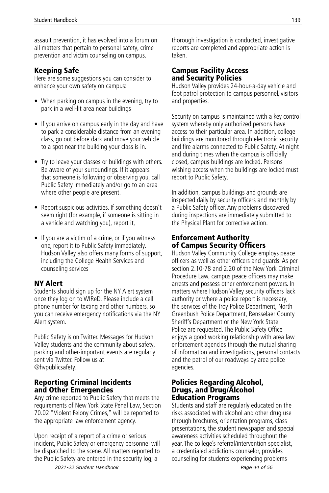assault prevention, it has evolved into a forum on all matters that pertain to personal safety, crime prevention and victim counseling on campus.

## Keeping Safe

Here are some suggestions you can consider to enhance your own safety on campus:

- When parking on campus in the evening, try to park in a well-lit area near buildings
- If you arrive on campus early in the day and have to park a considerable distance from an evening class, go out before dark and move your vehicle to a spot near the building your class is in.
- Try to leave your classes or buildings with others. Be aware of your surroundings. If it appears that someone is following or observing you, call Public Safety immediately and/or go to an area where other people are present.
- Report suspicious activities. If something doesn't seem right (for example, if someone is sitting in a vehicle and watching you), report it,
- If you are a victim of a crime, or if you witness one, report it to Public Safety immediately. Hudson Valley also offers many forms of support, including the College Health Services and counseling services

## NY Alert

Students should sign up for the NY Alert system once they log on to WIReD. Please include a cell phone number for texting and other numbers, so you can receive emergency notifications via the NY Alert system.

Public Safety is on Twitter. Messages for Hudson Valley students and the community about safety, parking and other-important events are regularly sent via Twitter. Follow us at @hvpublicsafety.

## Reporting Criminal Incidents and Other Emergencies

Any crime reported to Public Safety that meets the requirements of New York State Penal Law, Section 70.02 "Violent Felony Crimes," will be reported to the appropriate law enforcement agency.

Upon receipt of a report of a crime or serious incident, Public Safety or emergency personnel will be dispatched to the scene. All matters reported to the Public Safety are entered in the security log; a

thorough investigation is conducted, investigative reports are completed and appropriate action is taken.

## Campus Facility Access and Security Policies

Hudson Valley provides 24-hour-a-day vehicle and foot patrol protection to campus personnel, visitors and properties.

Security on campus is maintained with a key control system whereby only authorized persons have access to their particular area. In addition, college buildings are monitored through electronic security and fire alarms connected to Public Safety. At night and during times when the campus is officially closed, campus buildings are locked. Persons wishing access when the buildings are locked must report to Public Safety.

In addition, campus buildings and grounds are inspected daily by security officers and monthly by a Public Safety officer. Any problems discovered during inspections are immediately submitted to the Physical Plant for corrective action.

## Enforcement Authority of Campus Security Officers

Hudson Valley Community College employs peace officers as well as other officers and guards. As per section 2.10-78 and 2.20 of the New York Criminal Procedure Law, campus peace officers may make arrests and possess other enforcement powers. In matters where Hudson Valley security officers lack authority or where a police report is necessary, the services of the Troy Police Department, North Greenbush Police Department, Rensselaer County Sheriff's Department or the New York State Police are requested. The Public Safety Office enjoys a good working relationship with area law enforcement agencies through the mutual sharing of information and investigations, personal contacts and the patrol of our roadways by area police agencies.

#### Policies Regarding Alcohol, Drugs, and Drug/Alcohol Education Programs

Students and staff are regularly educated on the risks associated with alcohol and other drug use through brochures, orientation programs, class presentations, the student newspaper and special awareness activities scheduled throughout the year. The college's referral/intervention specialist, a credentialed addictions counselor, provides counseling for students experiencing problems

*2021-22 Student Handbook Page 44 of 56*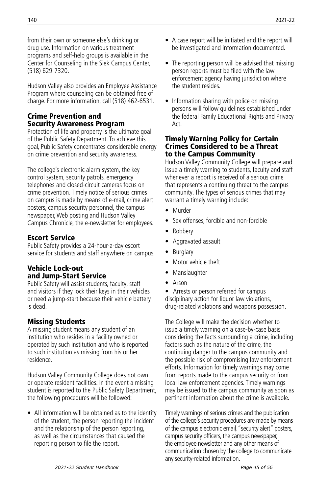from their own or someone else's drinking or drug use. Information on various treatment programs and self-help groups is available in the Center for Counseling in the Siek Campus Center, (518) 629-7320.

Hudson Valley also provides an Employee Assistance Program where counseling can be obtained free of charge. For more information, call (518) 462-6531.

## Crime Prevention and Security Awareness Program

Protection of life and property is the ultimate goal of the Public Safety Department. To achieve this goal, Public Safety concentrates considerable energy on crime prevention and security awareness.

The college's electronic alarm system, the key control system, security patrols, emergency telephones and closed-circuit cameras focus on crime prevention. Timely notice of serious crimes on campus is made by means of e-mail, crime alert posters, campus security personnel, the campus newspaper, Web posting and Hudson Valley Campus Chronicle, the e-newsletter for employees.

## Escort Service

Public Safety provides a 24-hour-a-day escort service for students and staff anywhere on campus.

## Vehicle Lock-out and Jump-Start Service

Public Safety will assist students, faculty, staff and visitors if they lock their keys in their vehicles or need a jump-start because their vehicle battery is dead.

## Missing Students

A missing student means any student of an institution who resides in a facility owned or operated by such institution and who is reported to such institution as missing from his or her residence.

Hudson Valley Community College does not own or operate resident facilities. In the event a missing student is reported to the Public Safety Department, the following procedures will be followed:

• All information will be obtained as to the identity of the student, the person reporting the incident and the relationship of the person reporting, as well as the circumstances that caused the reporting person to file the report.

- A case report will be initiated and the report will be investigated and information documented.
- The reporting person will be advised that missing person reports must be filed with the law enforcement agency having jurisdiction where the student resides.
- Information sharing with police on missing persons will follow guidelines established under the federal Family Educational Rights and Privacy Act.

#### Timely Warning Policy for Certain Crimes Considered to be a Threat to the Campus Community

Hudson Valley Community College will prepare and issue a timely warning to students, faculty and staff whenever a report is received of a serious crime that represents a continuing threat to the campus community. The types of serious crimes that may warrant a timely warning include:

- Murder
- Sex offenses, forcible and non-forcible
- Robbery
- Aggravated assault
- Burglary
- Motor vehicle theft
- Manslaughter
- Arson

• Arrests or person referred for campus disciplinary action for liquor law violations, drug-related violations and weapons possession.

The College will make the decision whether to issue a timely warning on a case-by-case basis considering the facts surrounding a crime, including factors such as the nature of the crime, the continuing danger to the campus community and the possible risk of compromising law enforcement efforts. Information for timely warnings may come from reports made to the campus security or from local law enforcement agencies. Timely warnings may be issued to the campus community as soon as pertinent information about the crime is available.

Timely warnings of serious crimes and the publication of the college's security procedures are made by means of the campus electronic email, "security alert" posters, campus security officers, the campus newspaper, the employee newsletter and any other means of communication chosen by the college to communicate any security-related information.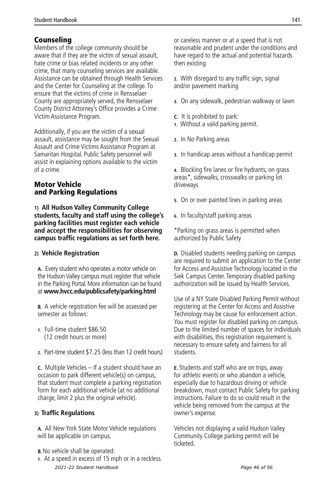## Counseling

Members of the college community should be aware that if they are the victim of sexual assault, hate crime or bias related incidents or any other crime, that many counseling services are available. Assistance can be obtained through Health Services and the Center for Counseling at the college. To ensure that the victims of crime in Rensselaer County are appropriately served, the Rensselaer County District Attorney's Office provides a Crime Victim Assistance Program.

Additionally, if you are the victim of a sexual assault, assistance may be sought from the Sexual Assault and Crime Victims Assistance Program at Samaritan Hospital. Public Safety personnel will assist in explaining options available to the victim of a crime.

## Motor Vehicle and Parking Regulations

**1) All Hudson Valley Community College students, faculty and staff using the college's parking facilities must register each vehicle and accept the responsibilities for observing campus traffic regulations as set forth here.** 

#### **2) Vehicle Registration**

**A.** Every student who operates a motor vehicle on the Hudson Valley campus must register that vehicle in the Parking Portal. More information can be found at **www.hvcc.edu/publicsafety/parking.html**

**B.** A vehicle registration fee will be assessed per semester as follows:

- **1.** Full-time student \$86.50 (12 credit hours or more)
- **2.** Part-time student \$7.25 (less than 12 credit hours)

**C.** Multiple Vehicles – If a student should have an occasion to park different vehicle(s) on campus, that student must complete a parking registration form for each additional vehicle (at no additional charge, limit 2 plus the original vehicle).

#### **3) Traffic Regulations**

**A.** All New York State Motor Vehicle regulations will be applicable on campus.

- **B.** No vehicle shall be operated:
- **1.** At a speed in excess of 15 mph or in a reckless *2021-22 Student Handbook Page 46 of 56*

or careless manner or at a speed that is not reasonable and prudent under the conditions and have regard to the actual and potential hazards then existing

- **2.** With disregard to any traffic sign, signal and/or pavement marking
- **3.** On any sidewalk, pedestrian walkway or lawn
- **C.** It is prohibited to park:
- **1.** Without a valid parking permit.
- **2.** In No Parking areas
- **3.** In handicap areas without a handicap permit

**4.** Blocking fire lanes or fire hydrants, on grass areas\*, sidewalks, crosswalks or parking lot driveways

- **5.** On or over painted lines in parking areas
- **6.** In faculty/staff parking areas

\*Parking on grass areas is permitted when authorized by Public Safety

**D.** Disabled students needing parking on campus are required to submit an application to the Center for Access and Assistive Technology located in the Siek Campus Center. Temporary disabled parking authorization will be issued by Health Services.

Use of a NY State Disabled Parking Permit without registering at the Center for Access and Assistive Technology may be cause for enforcement action. You must register for disabled parking on campus. Due to the limited number of spaces for individuals with disabilities, this registration requirement is necessary to ensure safety and fairness for all students.

**E.** Students and staff who are on trips, away for athletic events or who abandon a vehicle, especially due to hazardous driving or vehicle breakdown, must contact Public Safety for parking instructions. Failure to do so could result in the vehicle being removed from the campus at the owner's expense.

Vehicles not displaying a valid Hudson Valley Community College parking permit will be ticketed.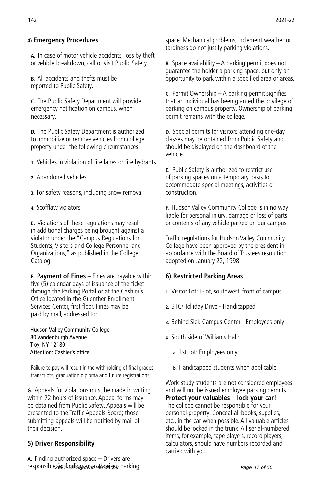#### **4) Emergency Procedures**

 **A.** In case of motor vehicle accidents, loss by theft or vehicle breakdown, call or visit Public Safety.

**B.** All accidents and thefts must be reported to Public Safety.

**C.** The Public Safety Department will provide emergency notification on campus, when necessary.

**D.** The Public Safety Department is authorized to immobilize or remove vehicles from college property under the following circumstances

- **1.** Vehicles in violation of fire lanes or fire hydrants
- **2.** Abandoned vehicles
- **3.** For safety reasons, including snow removal
- **4.** Scofflaw violators

**E.** Violations of these regulations may result in additional charges being brought against a violator under the "Campus Regulations for Students, Visitors and College Personnel and Organizations," as published in the College Catalog.

**F. Payment of Fines** – Fines are payable within five (5) calendar days of issuance of the ticket through the Parking Portal or at the Cashier's Office located in the Guenther Enrollment Services Center, first floor. Fines may be paid by mail, addressed to:

 Hudson Valley Community College 80 Vandenburgh Avenue Troy, NY 12180 Attention: Cashier's office

Failure to pay will result in the withholding of final grades, transcripts, graduation diploma and future registrations.

**G.** Appeals for violations must be made in writing within 72 hours of issuance. Appeal forms may be obtained from Public Safety. Appeals will be presented to the Traffic Appeals Board; those submitting appeals will be notified by mail of their decision.

#### **5) Driver Responsibility**

**A.** Finding authorized space – Drivers are responsible for finding an authorized parking *2021-22 Student Handbook Page 47 of 56*

space. Mechanical problems, inclement weather or tardiness do not justify parking violations.

**B.** Space availability – A parking permit does not guarantee the holder a parking space, but only an opportunity to park within a specified area or areas.

**C.** Permit Ownership – A parking permit signifies that an individual has been granted the privilege of parking on campus property. Ownership of parking permit remains with the college.

**D.** Special permits for visitors attending one-day classes may be obtained from Public Safety and should be displayed on the dashboard of the vehicle.

**E.** Public Safety is authorized to restrict use of parking spaces on a temporary basis to accommodate special meetings, activities or construction.

**F.** Hudson Valley Community College is in no way liable for personal injury, damage or loss of parts or contents of any vehicle parked on our campus.

Traffic regulations for Hudson Valley Community College have been approved by the president in accordance with the Board of Trustees resolution adopted on January 22, 1998.

#### **6) Restricted Parking Areas**

- **1.** Visitor Lot: F-lot, southwest, front of campus.
- **2.** BTC/Holliday Drive Handicapped
- **3.** Behind Siek Campus Center Employees only
- **4.** South side of Williams Hall:
	- **a.** 1st Lot: Employees only
	- **b.** Handicapped students when applicable.

Work-study students are not considered employees and will not be issued employee parking permits. **Protect your valuables – lock your car!** The college cannot be responsible for your personal property. Conceal all books, supplies, etc., in the car when possible. All valuable articles should be locked in the trunk. All serial-numbered items, for example, tape players, record players, calculators, should have numbers recorded and carried with you.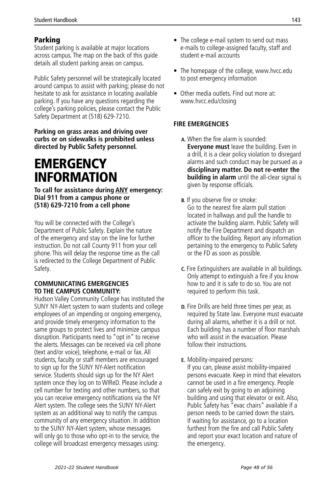## <span id="page-48-0"></span>Parking

Student parking is available at major locations across campus. The map on the back of this guide details all student parking areas on campus.

Public Safety personnel will be strategically located around campus to assist with parking; please do not hesitate to ask for assistance in locating available parking. If you have any questions regarding the college's parking policies, please contact the Public Safety Department at (518) 629-7210.

#### **Parking on grass areas and driving over curbs or on sidewalks is prohibited unless directed by Public Safety personnel.**

## **EMERGENCY** INFORMATION

**To call for assistance during ANY emergency: Dial 911 from a campus phone or (518) 629-7210 from a cell phone** 

You will be connected with the College's Department of Public Safety. Explain the nature of the emergency and stay on the line for further instruction. Do not call County 911 from your cell phone. This will delay the response time as the call is redirected to the College Department of Public Safety.

#### **COMMUNICATING EMERGENCIES TO THE CAMPUS COMMUNITY:**

Hudson Valley Community College has instituted the SUNY NY-Alert system to warn students and college employees of an impending or ongoing emergency, and provide timely emergency information to the same groups to protect lives and minimize campus disruption. Participants need to "opt in" to receive the alerts. Messages can be received via cell phone (text and/or voice), telephone, e-mail or fax. All students, faculty or staff members are encouraged to sign up for the SUNY NY-Alert notification service. Students should sign up for the NY Alert system once they log on to WIReD. Please include a cell number for texting and other numbers, so that you can receive emergency notifications via the NY Alert system. The college sees the SUNY NY-Alert system as an additional way to notify the campus community of any emergency situation. In addition to the SUNY NY-Alert system, whose messages will only go to those who opt-in to the service, the college will broadcast emergency messages using:

- The college e-mail system to send out mass e-mails to college-assigned faculty, staff and student e-mail accounts
- The homepage of the college, www.hvcc.edu to post emergency information
- Other media outlets. Find out more at: www.hvcc.edu/closing

## **FIRE EMERGENCIES**

- **A.** When the fire alarm is sounded: **Everyone must** leave the building. Even in a drill, it is a clear policy violation to disregard alarms and such conduct may be pursued as a **disciplinary matter. Do not re-enter the building in alarm** until the all-clear signal is given by response officials.
- **B.** If you observe fire or smoke: Go to the nearest fire alarm pull station located in hallways and pull the handle to activate the building alarm. Public Safety will notify the Fire Department and dispatch an officer to the building. Report any information pertaining to the emergency to Public Safety or the FD as soon as possible.
- **C.** Fire Extinguishers are available in all buildings. Only attempt to extinguish a fire if you know how to and it is safe to do so. You are not required to perform this task.
- **D.** Fire Drills are held three times per year, as required by State law. Everyone must evacuate during all alarms, whether it is a drill or not. Each building has a number of floor marshals who will assist in the evacuation. Please follow their instructions.

## **E.** Mobility-impaired persons:

If you can, please assist mobility-impaired persons evacuate. Keep in mind that elevators cannot be used in a fire emergency. People can safely exit by going to an adjoining building and using that elevator or exit. Also, Public Safety has "evac chairs" available if a person needs to be carried down the stairs. If waiting for assistance, go to a location furthest from the fire and call Public Safety and report your exact location and nature of the emergency.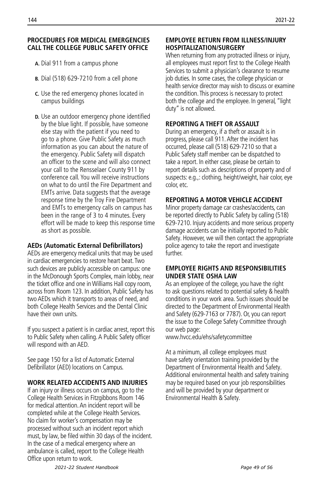#### **PROCEDURES FOR MEDICAL EMERGENCIES CALL THE COLLEGE PUBLIC SAFETY OFFICE**

- **A.** Dial 911 from a campus phone
- **B.** Dial (518) 629-7210 from a cell phone
- **C.** Use the red emergency phones located in campus buildings
- **D.** Use an outdoor emergency phone identified by the blue light. If possible, have someone else stay with the patient if you need to go to a phone. Give Public Safety as much information as you can about the nature of the emergency. Public Safety will dispatch an officer to the scene and will also connect your call to the Rensselaer County 911 by conference call. You will receive instructions on what to do until the Fire Department and EMTs arrive. Data suggests that the average response time by the Troy Fire Department and EMTs to emergency calls on campus has been in the range of 3 to 4 minutes. Every effort will be made to keep this response time as short as possible.

#### **AEDs (Automatic External Defibrillators)**

AEDs are emergency medical units that may be used in cardiac emergencies to restore heart beat. Two such devices are publicly accessible on campus: one in the McDonough Sports Complex, main lobby, near the ticket office and one in Williams Hall copy room, across from Room 123. In addition, Public Safety has two AEDs which it transports to areas of need, and both College Health Services and the Dental Clinic have their own units.

If you suspect a patient is in cardiac arrest, report this to Public Safety when calling. A Public Safety officer will respond with an AED.

See page 150 for a list of Automatic External Defibrillator (AED) locations on Campus.

#### **WORK RELATED ACCIDENTS AND INJURIES**

If an injury or illness occurs on campus, go to the College Health Services in Fitzgibbons Room 146 for medical attention. An incident report will be completed while at the College Health Services. No claim for worker's compensation may be processed without such an incident report which must, by law, be filed within 30 days of the incident. In the case of a medical emergency where an ambulance is called, report to the College Health Office upon return to work.

#### **EMPLOYEE RETURN FROM ILLNESS/INJURY HOSPITALIZATION/SURGERY**

When returning from any protracted illness or injury, all employees must report first to the College Health Services to submit a physician's clearance to resume job duties. In some cases, the college physician or health service director may wish to discuss or examine the condition. This process is necessary to protect both the college and the employee. In general, "light duty" is not allowed.

#### **REPORTING A THEFT OR ASSAULT**

During an emergency, if a theft or assault is in progress, please call 911. After the incident has occurred, please call (518) 629-7210 so that a Public Safety staff member can be dispatched to take a report. In either case, please be certain to report details such as descriptions of property and of suspects: e.g.,: clothing, height/weight, hair color, eye color, etc.

#### **REPORTING A MOTOR VEHICLE ACCIDENT**

Minor property damage car crashes/accidents, can be reported directly to Public Safety by calling (518) 629-7210. Injury accidents and more serious property damage accidents can be initially reported to Public Safety. However, we will then contact the appropriate police agency to take the report and investigate further.

#### **EMPLOYEE RIGHTS AND RESPONSIBILITIES UNDER STATE OSHA LAW**

As an employee of the college, you have the right to ask questions related to potential safety & health conditions in your work area. Such issues should be directed to the Department of Environmental Health and Safety (629-7163 or 7787). Or, you can report the issue to the College Safety Committee through our web page:

www.hvcc.edu/ehs/safetycommittee

At a minimum, all college employees must have safety orientation training provided by the Department of Environmental Health and Safety. Additional environmental health and safety training may be required based on your job responsibilities and will be provided by your department or Environmental Health & Safety.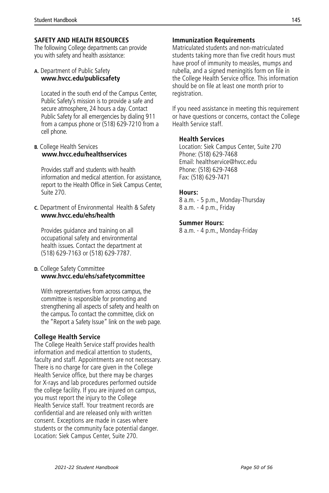#### **SAFETY AND HEALTH RESOURCES**

The following College departments can provide you with safety and health assistance:

#### **A.** Department of Public Safety **www.hvcc.edu/publicsafety**

Located in the south end of the Campus Center, Public Safety's mission is to provide a safe and secure atmosphere, 24 hours a day. Contact Public Safety for all emergencies by dialing 911 from a campus phone or (518) 629-7210 from a cell phone.

#### **B.** College Health Services **www.hvcc.edu/healthservices**

Provides staff and students with health information and medical attention. For assistance, report to the Health Office in Siek Campus Center, Suite 270.

#### **C.** Department of Environmental Health & Safety **www.hvcc.edu/ehs/health**

Provides guidance and training on all occupational safety and environmental health issues. Contact the department at (518) 629-7163 or (518) 629-7787.

#### **D.** College Safety Committee **www.hvcc.edu/ehs/safetycommittee**

With representatives from across campus, the committee is responsible for promoting and strengthening all aspects of safety and health on the campus. To contact the committee, click on the "Report a Safety Issue" link on the web page.

#### **College Health Service**

The College Health Service staff provides health information and medical attention to students, faculty and staff. Appointments are not necessary. There is no charge for care given in the College Health Service office, but there may be charges for X-rays and lab procedures performed outside the college facility. If you are injured on campus, you must report the injury to the College Health Service staff. Your treatment records are confidential and are released only with written consent. Exceptions are made in cases where students or the community face potential danger. Location: Siek Campus Center, Suite 270.

#### **Immunization Requirements**

Matriculated students and non-matriculated students taking more than five credit hours must have proof of immunity to measles, mumps and rubella, and a signed meningitis form on file in the College Health Service office. This information should be on file at least one month prior to registration.

If you need assistance in meeting this requirement or have questions or concerns, contact the College Health Service staff.

#### **Health Services**

Location: Siek Campus Center, Suite 270 Phone: (518) 629-7468 Email: healthservice@hvcc.edu Phone: (518) 629-7468 Fax: (518) 629-7471

#### **Hours:**

8 a.m. - 5 p.m., Monday-Thursday 8 a.m. - 4 p.m., Friday

#### **Summer Hours:**

8 a.m. - 4 p.m., Monday-Friday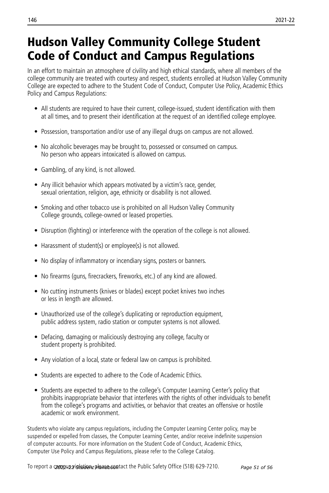## <span id="page-51-0"></span>Hudson Valley Community College Student Code of Conduct and Campus Regulations

In an effort to maintain an atmosphere of civility and high ethical standards, where all members of the college community are treated with courtesy and respect, students enrolled at Hudson Valley Community College are expected to adhere to the Student Code of Conduct, Computer Use Policy, Academic Ethics Policy and Campus Regulations:

- All students are required to have their current, college-issued, student identification with them at all times, and to present their identification at the request of an identified college employee.
- Possession, transportation and/or use of any illegal drugs on campus are not allowed.
- No alcoholic beverages may be brought to, possessed or consumed on campus. No person who appears intoxicated is allowed on campus.
- Gambling, of any kind, is not allowed.
- Any illicit behavior which appears motivated by a victim's race, gender, sexual orientation, religion, age, ethnicity or disability is not allowed.
- Smoking and other tobacco use is prohibited on all Hudson Valley Community College grounds, college-owned or leased properties.
- Disruption (fighting) or interference with the operation of the college is not allowed.
- Harassment of student(s) or employee(s) is not allowed.
- No display of inflammatory or incendiary signs, posters or banners.
- No firearms (guns, firecrackers, fireworks, etc.) of any kind are allowed.
- No cutting instruments (knives or blades) except pocket knives two inches or less in length are allowed.
- Unauthorized use of the college's duplicating or reproduction equipment, public address system, radio station or computer systems is not allowed.
- Defacing, damaging or maliciously destroying any college, faculty or student property is prohibited.
- Any violation of a local, state or federal law on campus is prohibited.
- Students are expected to adhere to the Code of Academic Ethics.
- Students are expected to adhere to the college's Computer Learning Center's policy that prohibits inappropriate behavior that interferes with the rights of other individuals to benefit from the college's programs and activities, or behavior that creates an offensive or hostile academic or work environment.

Students who violate any campus regulations, including the Computer Learning Center policy, may be suspended or expelled from classes, the Computer Learning Center, and/or receive indefinite suspension of computer accounts. For more information on the Student Code of Conduct, Academic Ethics, Computer Use Policy and Campus Regulations, please refer to the College Catalog.

To report a **czozpus vistation, please con**tact the Public Safety Office (518) 629-7210. *Page 51 of 56*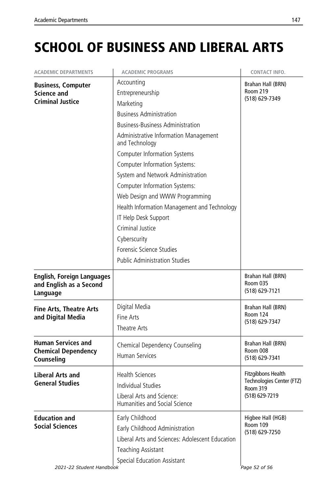# <span id="page-52-0"></span>SCHOOL OF BUSINESS AND LIBERAL ARTS

| <b>ACADEMIC DEPARTMENTS</b>                                                | <b>ACADEMIC PROGRAMS</b>                                                                                                                                                                                                                                                                                                                                                                                                                                                                                                                                          | CONTACT INFO.                                                                        |
|----------------------------------------------------------------------------|-------------------------------------------------------------------------------------------------------------------------------------------------------------------------------------------------------------------------------------------------------------------------------------------------------------------------------------------------------------------------------------------------------------------------------------------------------------------------------------------------------------------------------------------------------------------|--------------------------------------------------------------------------------------|
| <b>Business, Computer</b><br><b>Science and</b><br><b>Criminal Justice</b> | Accounting<br>Entrepreneurship<br>Marketing<br><b>Business Administration</b><br><b>Business-Business Administration</b><br>Administrative Information Management<br>and Technology<br><b>Computer Information Systems</b><br><b>Computer Information Systems:</b><br>System and Network Administration<br><b>Computer Information Systems:</b><br>Web Design and WWW Programming<br>Health Information Management and Technology<br>IT Help Desk Support<br>Criminal Justice<br>Cyberscurity<br>Forensic Science Studies<br><b>Public Administration Studies</b> | Brahan Hall (BRN)<br>Room 219<br>(518) 629-7349                                      |
| <b>English, Foreign Languages</b><br>and English as a Second<br>Language   |                                                                                                                                                                                                                                                                                                                                                                                                                                                                                                                                                                   | Brahan Hall (BRN)<br><b>Room 035</b><br>(518) 629-7121                               |
| <b>Fine Arts, Theatre Arts</b><br>and Digital Media                        | Digital Media<br>Fine Arts<br>Theatre Arts                                                                                                                                                                                                                                                                                                                                                                                                                                                                                                                        | Brahan Hall (BRN)<br>Room 124<br>(518) 629-7347                                      |
| <b>Human Services and</b><br><b>Chemical Dependency</b><br>Counseling      | Chemical Dependency Counseling<br><b>Human Services</b>                                                                                                                                                                                                                                                                                                                                                                                                                                                                                                           | Brahan Hall (BRN)<br>Room 008<br>(518) 629-7341                                      |
| <b>Liberal Arts and</b><br><b>General Studies</b>                          | <b>Health Sciences</b><br>Individual Studies<br>Liberal Arts and Science:<br>Humanities and Social Science                                                                                                                                                                                                                                                                                                                                                                                                                                                        | Fitzgibbons Health<br>Technologies Center (FTZ)<br><b>Room 319</b><br>(518) 629-7219 |
| <b>Education and</b><br><b>Social Sciences</b><br>2021-22 Student Handbook | Early Childhood<br>Early Childhood Administration<br>Liberal Arts and Sciences: Adolescent Education<br><b>Teaching Assistant</b><br>Special Education Assistant                                                                                                                                                                                                                                                                                                                                                                                                  | Higbee Hall (HGB)<br>Room 109<br>(518) 629-7250<br>Page 52 of 56                     |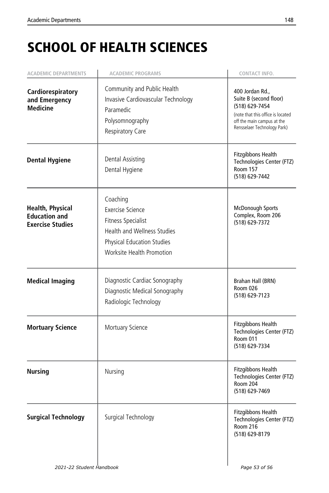# SCHOOL OF HEALTH SCIENCES

| <b>ACADEMIC DEPARTMENTS</b>                                                | <b>ACADEMIC PROGRAMS</b>                                                                                                                                                 | CONTACT INFO.                                                                                                                                                 |
|----------------------------------------------------------------------------|--------------------------------------------------------------------------------------------------------------------------------------------------------------------------|---------------------------------------------------------------------------------------------------------------------------------------------------------------|
| Cardiorespiratory<br>and Emergency<br><b>Medicine</b>                      | Community and Public Health<br>Invasive Cardiovascular Technology<br>Paramedic<br>Polysomnography<br>Respiratory Care                                                    | 400 Jordan Rd.,<br>Suite B (second floor)<br>(518) 629-7454<br>(note that this office is located<br>off the main campus at the<br>Rensselaer Technology Park) |
| <b>Dental Hygiene</b>                                                      | Dental Assisting<br>Dental Hygiene                                                                                                                                       | Fitzgibbons Health<br>Technologies Center (FTZ)<br><b>Room 157</b><br>(518) 629-7442                                                                          |
| <b>Health, Physical</b><br><b>Education and</b><br><b>Exercise Studies</b> | Coaching<br><b>Exercise Science</b><br><b>Fitness Specialist</b><br><b>Health and Wellness Studies</b><br><b>Physical Education Studies</b><br>Worksite Health Promotion | <b>McDonough Sports</b><br>Complex, Room 206<br>(518) 629-7372                                                                                                |
| <b>Medical Imaging</b>                                                     | Diagnostic Cardiac Sonography<br>Diagnostic Medical Sonography<br>Radiologic Technology                                                                                  | Brahan Hall (BRN)<br>Room 026<br>(518) 629-7123                                                                                                               |
| <b>Mortuary Science</b>                                                    | Mortuary Science                                                                                                                                                         | Fitzgibbons Health<br>Technologies Center (FTZ)<br>Room 011<br>(518) 629-7334                                                                                 |
| <b>Nursing</b>                                                             | Nursing                                                                                                                                                                  | <b>Fitzgibbons Health</b><br>Technologies Center (FTZ)<br>Room 204<br>(518) 629-7469                                                                          |
| <b>Surgical Technology</b>                                                 | Surgical Technology                                                                                                                                                      | <b>Fitzgibbons Health</b><br>Technologies Center (FTZ)<br>Room 216<br>(518) 629-8179                                                                          |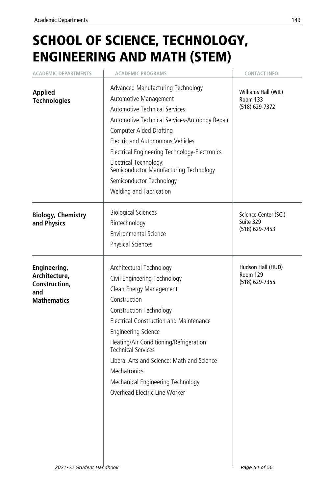# SCHOOL OF SCIENCE, TECHNOLOGY, ENGINEERING AND MATH (STEM)

| <b>ACADEMIC DEPARTMENTS</b>                                                 | <b>ACADEMIC PROGRAMS</b>                                                                                                                                                                                                                                                                                                                                                                                           | CONTACT INFO.                                            |
|-----------------------------------------------------------------------------|--------------------------------------------------------------------------------------------------------------------------------------------------------------------------------------------------------------------------------------------------------------------------------------------------------------------------------------------------------------------------------------------------------------------|----------------------------------------------------------|
| <b>Applied</b><br><b>Technologies</b>                                       | Advanced Manufacturing Technology<br>Automotive Management<br><b>Automotive Technical Services</b><br>Automotive Technical Services-Autobody Repair<br><b>Computer Aided Drafting</b><br><b>Electric and Autonomous Vehicles</b><br>Electrical Engineering Technology-Electronics<br>Electrical Technology:<br>Semiconductor Manufacturing Technology<br>Semiconductor Technology<br>Welding and Fabrication       | Williams Hall (WIL)<br><b>Room 133</b><br>(518) 629-7372 |
| <b>Biology, Chemistry</b><br>and Physics                                    | <b>Biological Sciences</b><br>Biotechnology<br><b>Environmental Science</b><br>Physical Sciences                                                                                                                                                                                                                                                                                                                   | Science Center (SCI)<br>Suite 329<br>(518) 629-7453      |
| Engineering,<br>Architecture,<br>Construction,<br>and<br><b>Mathematics</b> | Architectural Technology<br>Civil Engineering Technology<br>Clean Energy Management<br>Construction<br>Construction Technology<br>Electrical Construction and Maintenance<br><b>Engineering Science</b><br>Heating/Air Conditioning/Refrigeration<br><b>Technical Services</b><br>Liberal Arts and Science: Math and Science<br>Mechatronics<br>Mechanical Engineering Technology<br>Overhead Electric Line Worker | Hudson Hall (HUD)<br>Room 129<br>(518) 629-7355          |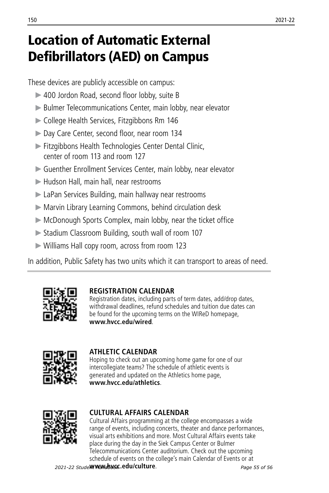# <span id="page-55-0"></span>Location of Automatic External Defibrillators (AED) on Campus

These devices are publicly accessible on campus:

- ▶ 400 Jordon Road, second floor lobby, suite B
- Bulmer Telecommunications Center, main lobby, near elevator
- College Health Services, Fitzgibbons Rm 146
- Day Care Center, second floor, near room 134
- Fitzgibbons Health Technologies Center Dental Clinic, center of room 113 and room 127
- Guenther Enrollment Services Center, main lobby, near elevator
- Hudson Hall, main hall, near restrooms
- LaPan Services Building, main hallway near restrooms
- Marvin Library Learning Commons, behind circulation desk
- McDonough Sports Complex, main lobby, near the ticket office
- Stadium Classroom Building, south wall of room 107
- Williams Hall copy room, across from room 123

In addition, Public Safety has two units which it can transport to areas of need.



## **REGISTRATION CALENDAR**

Registration dates, including parts of term dates, add/drop dates, withdrawal deadlines, refund schedules and tuition due dates can be found for the upcoming terms on the WIReD homepage, **www.hvcc.edu/wired**.



## **ATHLETIC CALENDAR**

Hoping to check out an upcoming home game for one of our intercollegiate teams? The schedule of athletic events is generated and updated on the Athletics home page, **www.hvcc.edu/athletics**.



## **CULTURAL AFFAIRS CALENDAR**

Cultural Affairs programming at the college encompasses a wide range of events, including concerts, theater and dance performances, visual arts exhibitions and more. Most Cultural Affairs events take place during the day in the Siek Campus Center or Bulmer Telecommunications Center auditorium. Check out the upcoming schedule of events on the college's main Calendar of Events or at